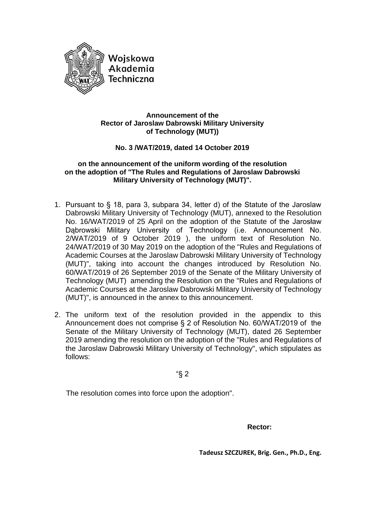

### **Announcement of the Rector of Jaroslaw Dabrowski Military University of Technology (MUT))**

# **No. 3 /WAT/2019, dated 14 October 2019**

#### **on the announcement of the uniform wording of the resolution on the adoption of "The Rules and Regulations of Jaroslaw Dabrowski Military University of Technology (MUT)".**

- 1. Pursuant to § 18, para 3, subpara 34, letter d) of the Statute of the Jaroslaw Dabrowski Military University of Technology (MUT), annexed to the Resolution No. 16/WAT/2019 of 25 April on the adoption of the Statute of the Jarosław Dąbrowski Military University of Technology (i.e. Announcement No. 2/WAT/2019 of 9 October 2019 ), the uniform text of Resolution No. 24/WAT/2019 of 30 May 2019 on the adoption of the "Rules and Regulations of Academic Courses at the Jaroslaw Dabrowski Military University of Technology (MUT)", taking into account the changes introduced by Resolution No. 60/WAT/2019 of 26 September 2019 of the Senate of the Military University of Technology (MUT) amending the Resolution on the "Rules and Regulations of Academic Courses at the Jaroslaw Dabrowski Military University of Technology (MUT)", is announced in the annex to this announcement.
- 2. The uniform text of the resolution provided in the appendix to this Announcement does not comprise § 2 of Resolution No. 60/WAT/2019 of the Senate of the Military University of Technology (MUT), dated 26 September 2019 amending the resolution on the adoption of the "Rules and Regulations of the Jaroslaw Dabrowski Military University of Technology", which stipulates as follows:

"§ 2

The resolution comes into force upon the adoption".

*Rector:* **Rector:** 

**Tadeusz SZCZUREK, Brig. Gen., Ph.D., Eng.**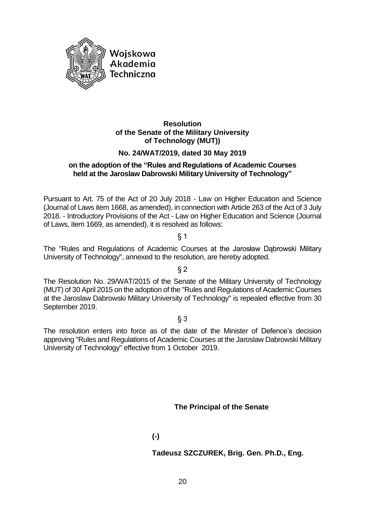

# **Resolution of the Senate of the Military University of Technology (MUT))**

# **No. 24/WAT/2019, dated 30 May 2019**

# **on the adoption of the "Rules and Regulations of Academic Courses held at the Jaroslaw Dabrowski Military University of Technology"**

Pursuant to Art. 75 of the Act of 20 July 2018 - Law on Higher Education and Science (Journal of Laws item 1668, as amended), in connection with Article 263 of the Act of 3 July 2018. - Introductory Provisions of the Act - Law on Higher Education and Science (Journal of Laws, item 1669, as amended), it is resolved as follows:

§ 1

The "Rules and Regulations of Academic Courses at the Jarosław Dąbrowski Military University of Technology", annexed to the resolution, are hereby adopted.

§ 2

The Resolution No. 29/WAT/2015 of the Senate of the Military University of Technology (MUT) of 30 April 2015 on the adoption of the "Rules and Regulations of Academic Courses at the Jaroslaw Dabrowski Military University of Technology" is repealed effective from 30 September 2019.

# § 3

The resolution enters into force as of the date of the Minister of Defence's decision approving "Rules and Regulations of Academic Courses at the Jaroslaw Dabrowski Military University of Technology" effective from 1 October 2019.

**The Principal of the Senate**

# **(-)**

# **Tadeusz SZCZUREK, Brig. Gen. Ph.D., Eng.**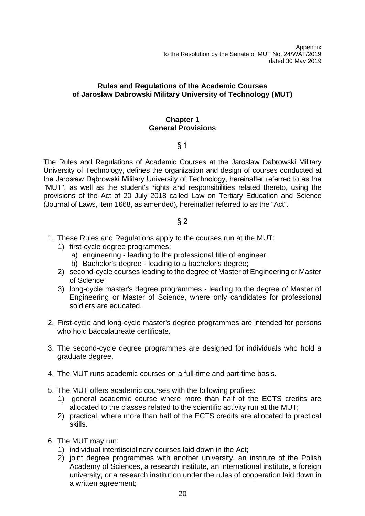Appendix to the Resolution by the Senate of MUT No. 24/WAT/2019 dated 30 May 2019

# **Rules and Regulations of the Academic Courses of Jaroslaw Dabrowski Military University of Technology (MUT)**

#### **Chapter 1 General Provisions**

### § 1

The Rules and Regulations of Academic Courses at the Jaroslaw Dabrowski Military University of Technology, defines the organization and design of courses conducted at the Jarosław Dąbrowski Military University of Technology, hereinafter referred to as the "MUT", as well as the student's rights and responsibilities related thereto, using the provisions of the Act of 20 July 2018 called Law on Tertiary Education and Science (Journal of Laws, item 1668, as amended), hereinafter referred to as the "Act".

- 1. These Rules and Regulations apply to the courses run at the MUT:
	- 1) first-cycle degree programmes:
		- a) engineering leading to the professional title of engineer,
		- b) Bachelor's degree leading to a bachelor's degree;
	- 2) second-cycle courses leading to the degree of Master of Engineering or Master of Science;
	- 3) long-cycle master's degree programmes leading to the degree of Master of Engineering or Master of Science, where only candidates for professional soldiers are educated.
- 2. First-cycle and long-cycle master's degree programmes are intended for persons who hold baccalaureate certificate.
- 3. The second-cycle degree programmes are designed for individuals who hold a graduate degree.
- 4. The MUT runs academic courses on a full-time and part-time basis.
- 5. The MUT offers academic courses with the following profiles:
	- 1) general academic course where more than half of the ECTS credits are allocated to the classes related to the scientific activity run at the MUT;
	- 2) practical, where more than half of the ECTS credits are allocated to practical skills.
- 6. The MUT may run:
	- 1) individual interdisciplinary courses laid down in the Act;
	- 2) joint degree programmes with another university, an institute of the Polish Academy of Sciences, a research institute, an international institute, a foreign university, or a research institution under the rules of cooperation laid down in a written agreement;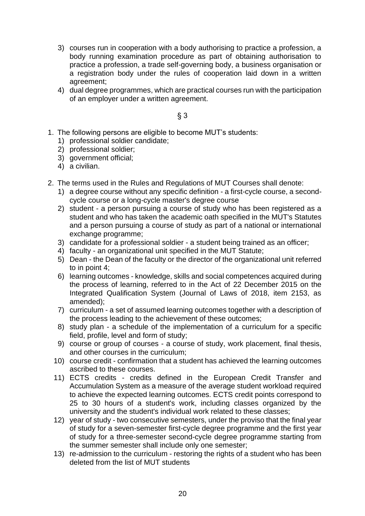- 3) courses run in cooperation with a body authorising to practice a profession, a body running examination procedure as part of obtaining authorisation to practice a profession, a trade self-governing body, a business organisation or a registration body under the rules of cooperation laid down in a written agreement;
- 4) dual degree programmes, which are practical courses run with the participation of an employer under a written agreement.

- 1. The following persons are eligible to become MUT's students:
	- 1) professional soldier candidate;
	- 2) professional soldier;
	- 3) government official;
	- 4) a civilian.
- 2. The terms used in the Rules and Regulations of MUT Courses shall denote:
	- 1) a degree course without any specific definition a first-cycle course, a secondcycle course or a long-cycle master's degree course
	- 2) student a person pursuing a course of study who has been registered as a student and who has taken the academic oath specified in the MUT's Statutes and a person pursuing a course of study as part of a national or international exchange programme;
	- 3) candidate for a professional soldier a student being trained as an officer;
	- 4) faculty an organizational unit specified in the MUT Statute;
	- 5) Dean the Dean of the faculty or the director of the organizational unit referred to in point 4;
	- 6) learning outcomes knowledge, skills and social competences acquired during the process of learning, referred to in the Act of 22 December 2015 on the Integrated Qualification System (Journal of Laws of 2018, item 2153, as amended);
	- 7) curriculum a set of assumed learning outcomes together with a description of the process leading to the achievement of these outcomes;
	- 8) study plan a schedule of the implementation of a curriculum for a specific field, profile, level and form of study;
	- 9) course or group of courses a course of study, work placement, final thesis, and other courses in the curriculum;
	- 10) course credit confirmation that a student has achieved the learning outcomes ascribed to these courses.
	- 11) ECTS credits credits defined in the European Credit Transfer and Accumulation System as a measure of the average student workload required to achieve the expected learning outcomes. ECTS credit points correspond to 25 to 30 hours of a student's work, including classes organized by the university and the student's individual work related to these classes;
	- 12) year of study two consecutive semesters, under the proviso that the final year of study for a seven-semester first-cycle degree programme and the first year of study for a three-semester second-cycle degree programme starting from the summer semester shall include only one semester;
	- 13) re-admission to the curriculum restoring the rights of a student who has been deleted from the list of MUT students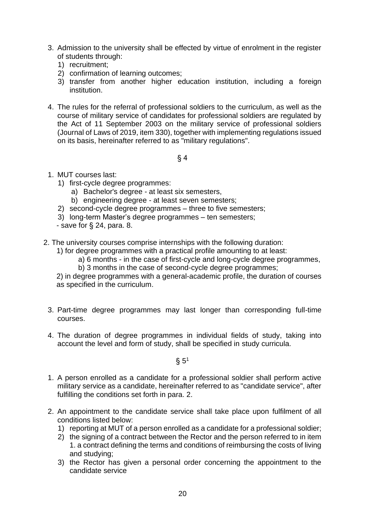- 3. Admission to the university shall be effected by virtue of enrolment in the register of students through:
	- 1) recruitment;
	- 2) confirmation of learning outcomes;
	- 3) transfer from another higher education institution, including a foreign institution.
- 4. The rules for the referral of professional soldiers to the curriculum, as well as the course of military service of candidates for professional soldiers are regulated by the Act of 11 September 2003 on the military service of professional soldiers (Journal of Laws of 2019, item 330), together with implementing regulations issued on its basis, hereinafter referred to as "military regulations".

- 1. MUT courses last:
	- 1) first-cycle degree programmes:
		- a) Bachelor's degree at least six semesters,
		- b) engineering degree at least seven semesters;
	- 2) second-cycle degree programmes three to five semesters;
	- 3) long-term Master's degree programmes ten semesters;
	- save for § 24, para. 8.
- 2. The university courses comprise internships with the following duration:
	- 1) for degree programmes with a practical profile amounting to at least:
		- a) 6 months in the case of first-cycle and long-cycle degree programmes,
		- b) 3 months in the case of second-cycle degree programmes;

2) in degree programmes with a general-academic profile, the duration of courses as specified in the curriculum.

- 3. Part-time degree programmes may last longer than corresponding full-time courses.
- 4. The duration of degree programmes in individual fields of study, taking into account the level and form of study, shall be specified in study curricula.

 $\S 5<sup>1</sup>$ 

- 1. A person enrolled as a candidate for a professional soldier shall perform active military service as a candidate, hereinafter referred to as "candidate service", after fulfilling the conditions set forth in para. 2.
- 2. An appointment to the candidate service shall take place upon fulfilment of all conditions listed below:
	- 1) reporting at MUT of a person enrolled as a candidate for a professional soldier;
	- 2) the signing of a contract between the Rector and the person referred to in item 1. a contract defining the terms and conditions of reimbursing the costs of living and studying;
	- 3) the Rector has given a personal order concerning the appointment to the candidate service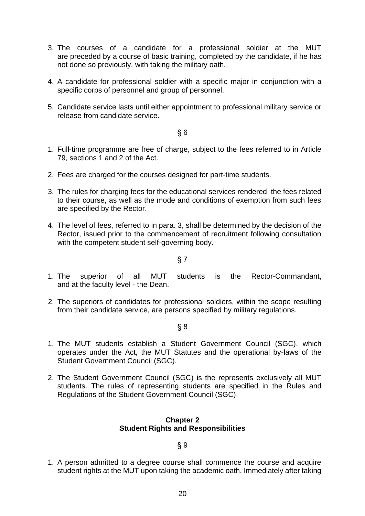- 3. The courses of a candidate for a professional soldier at the MUT are preceded by a course of basic training, completed by the candidate, if he has not done so previously, with taking the military oath.
- 4. A candidate for professional soldier with a specific major in conjunction with a specific corps of personnel and group of personnel.
- 5. Candidate service lasts until either appointment to professional military service or release from candidate service.

- 1. Full-time programme are free of charge, subject to the fees referred to in Article 79, sections 1 and 2 of the Act.
- 2. Fees are charged for the courses designed for part-time students.
- 3. The rules for charging fees for the educational services rendered, the fees related to their course, as well as the mode and conditions of exemption from such fees are specified by the Rector.
- 4. The level of fees, referred to in para. 3, shall be determined by the decision of the Rector, issued prior to the commencement of recruitment following consultation with the competent student self-governing body.

§ 7

- 1. The superior of all MUT students is the Rector-Commandant, and at the faculty level - the Dean.
- 2. The superiors of candidates for professional soldiers, within the scope resulting from their candidate service, are persons specified by military regulations.

§ 8

- 1. The MUT students establish a Student Government Council (SGC), which operates under the Act, the MUT Statutes and the operational by-laws of the Student Government Council (SGC).
- 2. The Student Government Council (SGC) is the represents exclusively all MUT students. The rules of representing students are specified in the Rules and Regulations of the Student Government Council (SGC).

#### **Chapter 2 Student Rights and Responsibilities**

# § 9

1. A person admitted to a degree course shall commence the course and acquire student rights at the MUT upon taking the academic oath. Immediately after taking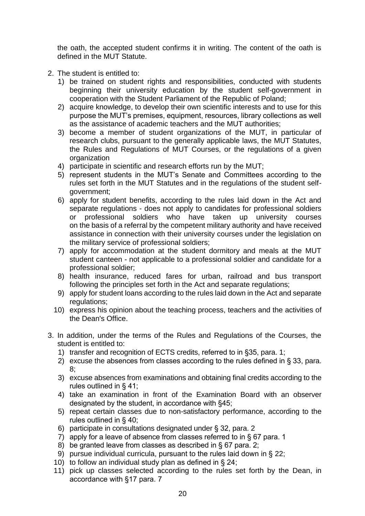the oath, the accepted student confirms it in writing. The content of the oath is defined in the MUT Statute.

- 2. The student is entitled to:
	- 1) be trained on student rights and responsibilities, conducted with students beginning their university education by the student self-government in cooperation with the Student Parliament of the Republic of Poland;
	- 2) acquire knowledge, to develop their own scientific interests and to use for this purpose the MUT's premises, equipment, resources, library collections as well as the assistance of academic teachers and the MUT authorities;
	- 3) become a member of student organizations of the MUT, in particular of research clubs, pursuant to the generally applicable laws, the MUT Statutes, the Rules and Regulations of MUT Courses, or the regulations of a given organization
	- 4) participate in scientific and research efforts run by the MUT;
	- 5) represent students in the MUT's Senate and Committees according to the rules set forth in the MUT Statutes and in the regulations of the student selfgovernment;
	- 6) apply for student benefits, according to the rules laid down in the Act and separate regulations - does not apply to candidates for professional soldiers or professional soldiers who have taken up university courses on the basis of a referral by the competent military authority and have received assistance in connection with their university courses under the legislation on the military service of professional soldiers;
	- 7) apply for accommodation at the student dormitory and meals at the MUT student canteen - not applicable to a professional soldier and candidate for a professional soldier;
	- 8) health insurance, reduced fares for urban, railroad and bus transport following the principles set forth in the Act and separate regulations;
	- 9) apply for student loans according to the rules laid down in the Act and separate regulations;
	- 10) express his opinion about the teaching process, teachers and the activities of the Dean's Office.
- 3. In addition, under the terms of the Rules and Regulations of the Courses, the student is entitled to:
	- 1) transfer and recognition of ECTS credits, referred to in §35, para. 1;
	- 2) excuse the absences from classes according to the rules defined in § 33, para. 8;
	- 3) excuse absences from examinations and obtaining final credits according to the rules outlined in § 41;
	- 4) take an examination in front of the Examination Board with an observer designated by the student, in accordance with §45;
	- 5) repeat certain classes due to non-satisfactory performance, according to the rules outlined in § 40;
	- 6) participate in consultations designated under § 32, para. 2
	- 7) apply for a leave of absence from classes referred to in § 67 para. 1
	- 8) be granted leave from classes as described in § 67 para. 2;
	- 9) pursue individual curricula, pursuant to the rules laid down in § 22;
	- 10) to follow an individual study plan as defined in § 24;
	- 11) pick up classes selected according to the rules set forth by the Dean, in accordance with §17 para. 7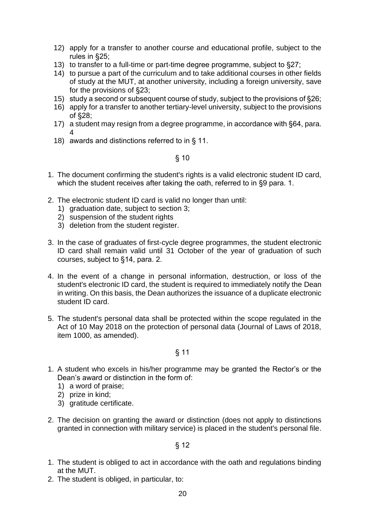- 12) apply for a transfer to another course and educational profile, subject to the rules in §25;
- 13) to transfer to a full-time or part-time degree programme, subject to §27;
- 14) to pursue a part of the curriculum and to take additional courses in other fields of study at the MUT, at another university, including a foreign university, save for the provisions of §23;
- 15) study a second or subsequent course of study, subject to the provisions of §26;
- 16) apply for a transfer to another tertiary-level university, subject to the provisions of §28;
- 17) a student may resign from a degree programme, in accordance with §64, para. 4
- 18) awards and distinctions referred to in § 11.

- 1. The document confirming the student's rights is a valid electronic student ID card, which the student receives after taking the oath, referred to in §9 para. 1.
- 2. The electronic student ID card is valid no longer than until:
	- 1) graduation date, subject to section 3;
	- 2) suspension of the student rights
	- 3) deletion from the student register.
- 3. In the case of graduates of first-cycle degree programmes, the student electronic ID card shall remain valid until 31 October of the year of graduation of such courses, subject to §14, para. 2.
- 4. In the event of a change in personal information, destruction, or loss of the student's electronic ID card, the student is required to immediately notify the Dean in writing. On this basis, the Dean authorizes the issuance of a duplicate electronic student ID card.
- 5. The student's personal data shall be protected within the scope regulated in the Act of 10 May 2018 on the protection of personal data (Journal of Laws of 2018, item 1000, as amended).

# § 11

- 1. A student who excels in his/her programme may be granted the Rector's or the Dean's award or distinction in the form of:
	- 1) a word of praise;
	- 2) prize in kind;
	- 3) gratitude certificate.
- 2. The decision on granting the award or distinction (does not apply to distinctions granted in connection with military service) is placed in the student's personal file.

- 1. The student is obliged to act in accordance with the oath and regulations binding at the MUT.
- 2. The student is obliged, in particular, to: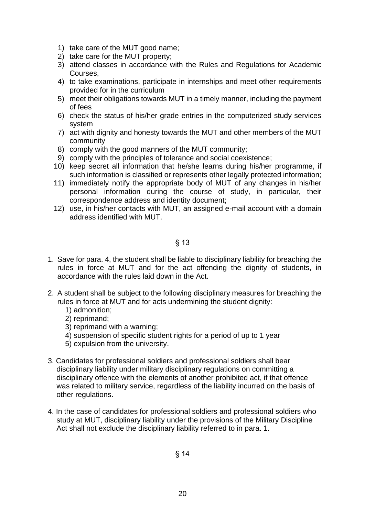- 1) take care of the MUT good name;
- 2) take care for the MUT property;
- 3) attend classes in accordance with the Rules and Regulations for Academic Courses,
- 4) to take examinations, participate in internships and meet other requirements provided for in the curriculum
- 5) meet their obligations towards MUT in a timely manner, including the payment of fees
- 6) check the status of his/her grade entries in the computerized study services system
- 7) act with dignity and honesty towards the MUT and other members of the MUT community
- 8) comply with the good manners of the MUT community;
- 9) comply with the principles of tolerance and social coexistence;
- 10) keep secret all information that he/she learns during his/her programme, if such information is classified or represents other legally protected information;
- 11) immediately notify the appropriate body of MUT of any changes in his/her personal information during the course of study, in particular, their correspondence address and identity document;
- 12) use, in his/her contacts with MUT, an assigned e-mail account with a domain address identified with MUT.

- 1. Save for para. 4, the student shall be liable to disciplinary liability for breaching the rules in force at MUT and for the act offending the dignity of students, in accordance with the rules laid down in the Act.
- 2. A student shall be subject to the following disciplinary measures for breaching the rules in force at MUT and for acts undermining the student dignity:
	- 1) admonition;
	- 2) reprimand;
	- 3) reprimand with a warning;
	- 4) suspension of specific student rights for a period of up to 1 year
	- 5) expulsion from the university.
- 3. Candidates for professional soldiers and professional soldiers shall bear disciplinary liability under military disciplinary regulations on committing a disciplinary offence with the elements of another prohibited act, if that offence was related to military service, regardless of the liability incurred on the basis of other regulations.
- 4. In the case of candidates for professional soldiers and professional soldiers who study at MUT, disciplinary liability under the provisions of the Military Discipline Act shall not exclude the disciplinary liability referred to in para. 1.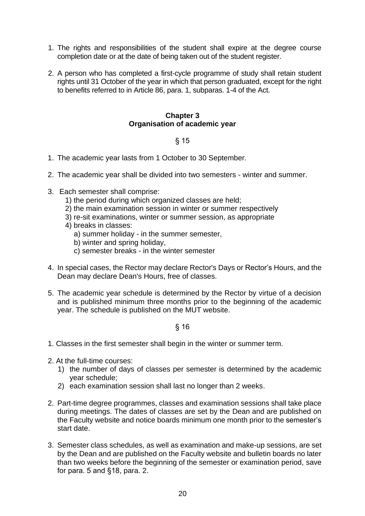- 1. The rights and responsibilities of the student shall expire at the degree course completion date or at the date of being taken out of the student register.
- 2. A person who has completed a first-cycle programme of study shall retain student rights until 31 October of the year in which that person graduated, except for the right to benefits referred to in Article 86, para. 1, subparas. 1-4 of the Act.

### **Chapter 3 Organisation of academic year**

# § 15

- 1. The academic year lasts from 1 October to 30 September.
- 2. The academic year shall be divided into two semesters winter and summer.
- 3. Each semester shall comprise:
	- 1) the period during which organized classes are held;
	- 2) the main examination session in winter or summer respectively
	- 3) re-sit examinations, winter or summer session, as appropriate
	- 4) breaks in classes:
		- a) summer holiday in the summer semester,
		- b) winter and spring holiday,
		- c) semester breaks in the winter semester
- 4. In special cases, the Rector may declare Rector's Days or Rector's Hours, and the Dean may declare Dean's Hours, free of classes.
- 5. The academic year schedule is determined by the Rector by virtue of a decision and is published minimum three months prior to the beginning of the academic year. The schedule is published on the MUT website.

- 1. Classes in the first semester shall begin in the winter or summer term.
- 2. At the full-time courses:
	- 1) the number of days of classes per semester is determined by the academic year schedule;
	- 2) each examination session shall last no longer than 2 weeks.
- 2. Part-time degree programmes, classes and examination sessions shall take place during meetings. The dates of classes are set by the Dean and are published on the Faculty website and notice boards minimum one month prior to the semester's start date.
- 3. Semester class schedules, as well as examination and make-up sessions, are set by the Dean and are published on the Faculty website and bulletin boards no later than two weeks before the beginning of the semester or examination period, save for para. 5 and §18, para. 2.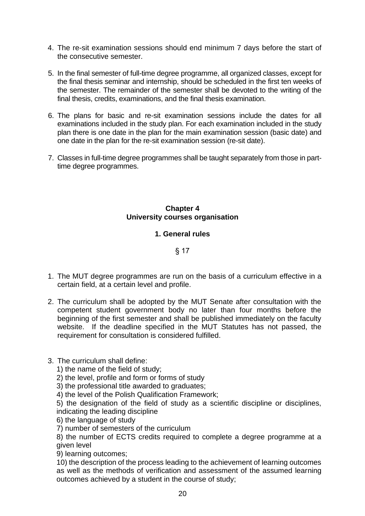- 4. The re-sit examination sessions should end minimum 7 days before the start of the consecutive semester.
- 5. In the final semester of full-time degree programme, all organized classes, except for the final thesis seminar and internship, should be scheduled in the first ten weeks of the semester. The remainder of the semester shall be devoted to the writing of the final thesis, credits, examinations, and the final thesis examination.
- 6. The plans for basic and re-sit examination sessions include the dates for all examinations included in the study plan. For each examination included in the study plan there is one date in the plan for the main examination session (basic date) and one date in the plan for the re-sit examination session (re-sit date).
- 7. Classes in full-time degree programmes shall be taught separately from those in parttime degree programmes.

# **Chapter 4 University courses organisation**

# **1. General rules**

# § 17

- 1. The MUT degree programmes are run on the basis of a curriculum effective in a certain field, at a certain level and profile.
- 2. The curriculum shall be adopted by the MUT Senate after consultation with the competent student government body no later than four months before the beginning of the first semester and shall be published immediately on the faculty website. If the deadline specified in the MUT Statutes has not passed, the requirement for consultation is considered fulfilled.

# 3. The curriculum shall define:

- 1) the name of the field of study;
- 2) the level, profile and form or forms of study
- 3) the professional title awarded to graduates;
- 4) the level of the Polish Qualification Framework;

5) the designation of the field of study as a scientific discipline or disciplines, indicating the leading discipline

- 6) the language of study
- 7) number of semesters of the curriculum

8) the number of ECTS credits required to complete a degree programme at a given level

9) learning outcomes;

10) the description of the process leading to the achievement of learning outcomes as well as the methods of verification and assessment of the assumed learning outcomes achieved by a student in the course of study;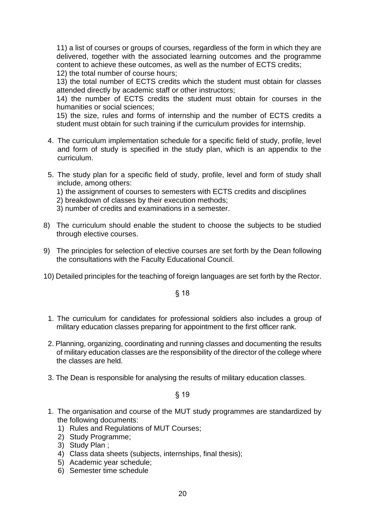11) a list of courses or groups of courses, regardless of the form in which they are delivered, together with the associated learning outcomes and the programme content to achieve these outcomes, as well as the number of ECTS credits;

12) the total number of course hours;

13) the total number of ECTS credits which the student must obtain for classes attended directly by academic staff or other instructors;

14) the number of ECTS credits the student must obtain for courses in the humanities or social sciences;

15) the size, rules and forms of internship and the number of ECTS credits a student must obtain for such training if the curriculum provides for internship.

- 4. The curriculum implementation schedule for a specific field of study, profile, level and form of study is specified in the study plan, which is an appendix to the curriculum.
- 5. The study plan for a specific field of study, profile, level and form of study shall include, among others:
	- 1) the assignment of courses to semesters with ECTS credits and disciplines
	- 2) breakdown of classes by their execution methods;
	- 3) number of credits and examinations in a semester.
- 8) The curriculum should enable the student to choose the subjects to be studied through elective courses.
- 9) The principles for selection of elective courses are set forth by the Dean following the consultations with the Faculty Educational Council.
- 10) Detailed principles for the teaching of foreign languages are set forth by the Rector.

§ 18

- 1. The curriculum for candidates for professional soldiers also includes a group of military education classes preparing for appointment to the first officer rank.
- 2. Planning, organizing, coordinating and running classes and documenting the results of military education classes are the responsibility of the director of the college where the classes are held.
- 3. The Dean is responsible for analysing the results of military education classes.

- 1. The organisation and course of the MUT study programmes are standardized by the following documents:
	- 1) Rules and Regulations of MUT Courses;
	- 2) Study Programme;
	- 3) Study Plan ;
	- 4) Class data sheets (subjects, internships, final thesis);
	- 5) Academic year schedule;
	- 6) Semester time schedule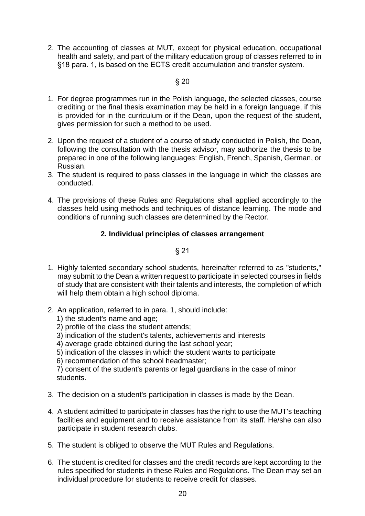2. The accounting of classes at MUT, except for physical education, occupational health and safety, and part of the military education group of classes referred to in §18 para. 1, is based on the ECTS credit accumulation and transfer system.

# § 20

- 1. For degree programmes run in the Polish language, the selected classes, course crediting or the final thesis examination may be held in a foreign language, if this is provided for in the curriculum or if the Dean, upon the request of the student, gives permission for such a method to be used.
- 2. Upon the request of a student of a course of study conducted in Polish, the Dean, following the consultation with the thesis advisor, may authorize the thesis to be prepared in one of the following languages: English, French, Spanish, German, or Russian.
- 3. The student is required to pass classes in the language in which the classes are conducted.
- 4. The provisions of these Rules and Regulations shall applied accordingly to the classes held using methods and techniques of distance learning. The mode and conditions of running such classes are determined by the Rector.

# **2. Individual principles of classes arrangement**

§ 21

- 1. Highly talented secondary school students, hereinafter referred to as "students," may submit to the Dean a written request to participate in selected courses in fields of study that are consistent with their talents and interests, the completion of which will help them obtain a high school diploma.
- 2. An application, referred to in para. 1, should include:
	- 1) the student's name and age;
	- 2) profile of the class the student attends;
	- 3) indication of the student's talents, achievements and interests
	- 4) average grade obtained during the last school year;
	- 5) indication of the classes in which the student wants to participate
	- 6) recommendation of the school headmaster;

7) consent of the student's parents or legal guardians in the case of minor students.

- 3. The decision on a student's participation in classes is made by the Dean.
- 4. A student admitted to participate in classes has the right to use the MUT's teaching facilities and equipment and to receive assistance from its staff. He/she can also participate in student research clubs.
- 5. The student is obliged to observe the MUT Rules and Regulations.
- 6. The student is credited for classes and the credit records are kept according to the rules specified for students in these Rules and Regulations. The Dean may set an individual procedure for students to receive credit for classes.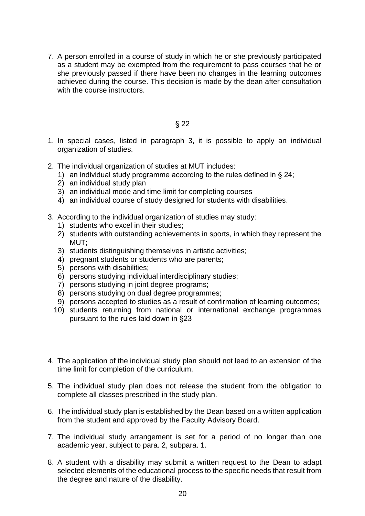7. A person enrolled in a course of study in which he or she previously participated as a student may be exempted from the requirement to pass courses that he or she previously passed if there have been no changes in the learning outcomes achieved during the course. This decision is made by the dean after consultation with the course instructors.

- 1. In special cases, listed in paragraph 3, it is possible to apply an individual organization of studies.
- 2. The individual organization of studies at MUT includes:
	- 1) an individual study programme according to the rules defined in § 24;
	- 2) an individual study plan
	- 3) an individual mode and time limit for completing courses
	- 4) an individual course of study designed for students with disabilities.
- 3. According to the individual organization of studies may study:
	- 1) students who excel in their studies;
	- 2) students with outstanding achievements in sports, in which they represent the MUT;
	- 3) students distinguishing themselves in artistic activities;
	- 4) pregnant students or students who are parents;
	- 5) persons with disabilities;
	- 6) persons studying individual interdisciplinary studies;
	- 7) persons studying in joint degree programs;
	- 8) persons studying on dual degree programmes;
	- 9) persons accepted to studies as a result of confirmation of learning outcomes;
	- 10) students returning from national or international exchange programmes pursuant to the rules laid down in §23
- 4. The application of the individual study plan should not lead to an extension of the time limit for completion of the curriculum.
- 5. The individual study plan does not release the student from the obligation to complete all classes prescribed in the study plan.
- 6. The individual study plan is established by the Dean based on a written application from the student and approved by the Faculty Advisory Board.
- 7. The individual study arrangement is set for a period of no longer than one academic year, subject to para. 2, subpara. 1.
- 8. A student with a disability may submit a written request to the Dean to adapt selected elements of the educational process to the specific needs that result from the degree and nature of the disability.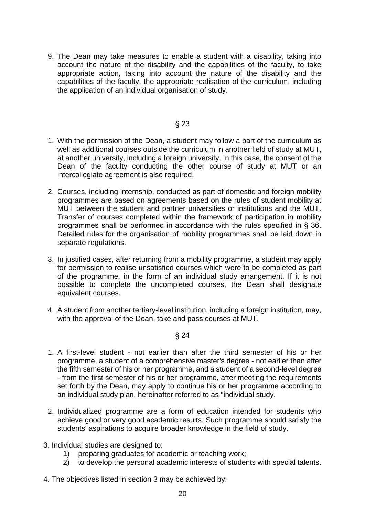9. The Dean may take measures to enable a student with a disability, taking into account the nature of the disability and the capabilities of the faculty, to take appropriate action, taking into account the nature of the disability and the capabilities of the faculty, the appropriate realisation of the curriculum, including the application of an individual organisation of study.

### § 23

- 1. With the permission of the Dean, a student may follow a part of the curriculum as well as additional courses outside the curriculum in another field of study at MUT, at another university, including a foreign university. In this case, the consent of the Dean of the faculty conducting the other course of study at MUT or an intercollegiate agreement is also required.
- 2. Courses, including internship, conducted as part of domestic and foreign mobility programmes are based on agreements based on the rules of student mobility at MUT between the student and partner universities or institutions and the MUT. Transfer of courses completed within the framework of participation in mobility programmes shall be performed in accordance with the rules specified in § 36. Detailed rules for the organisation of mobility programmes shall be laid down in separate regulations.
- 3. In justified cases, after returning from a mobility programme, a student may apply for permission to realise unsatisfied courses which were to be completed as part of the programme, in the form of an individual study arrangement. If it is not possible to complete the uncompleted courses, the Dean shall designate equivalent courses.
- 4. A student from another tertiary-level institution, including a foreign institution, may, with the approval of the Dean, take and pass courses at MUT.

- 1. A first-level student not earlier than after the third semester of his or her programme, a student of a comprehensive master's degree - not earlier than after the fifth semester of his or her programme, and a student of a second-level degree - from the first semester of his or her programme, after meeting the requirements set forth by the Dean, may apply to continue his or her programme according to an individual study plan, hereinafter referred to as "individual study.
- 2. Individualized programme are a form of education intended for students who achieve good or very good academic results. Such programme should satisfy the students' aspirations to acquire broader knowledge in the field of study.
- 3. Individual studies are designed to:
	- 1) preparing graduates for academic or teaching work;
	- 2) to develop the personal academic interests of students with special talents.
- 4. The objectives listed in section 3 may be achieved by: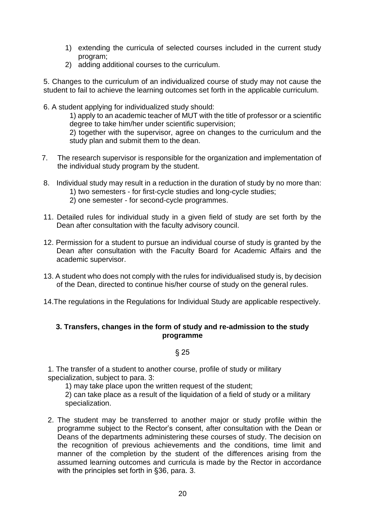- 1) extending the curricula of selected courses included in the current study program;
- 2) adding additional courses to the curriculum.

5. Changes to the curriculum of an individualized course of study may not cause the student to fail to achieve the learning outcomes set forth in the applicable curriculum.

6. A student applying for individualized study should:

1) apply to an academic teacher of MUT with the title of professor or a scientific degree to take him/her under scientific supervision;

2) together with the supervisor, agree on changes to the curriculum and the study plan and submit them to the dean.

- 7. The research supervisor is responsible for the organization and implementation of the individual study program by the student.
- 8. Individual study may result in a reduction in the duration of study by no more than: 1) two semesters - for first-cycle studies and long-cycle studies;
	- 2) one semester for second-cycle programmes.
- 11. Detailed rules for individual study in a given field of study are set forth by the Dean after consultation with the faculty advisory council.
- 12. Permission for a student to pursue an individual course of study is granted by the Dean after consultation with the Faculty Board for Academic Affairs and the academic supervisor.
- 13. A student who does not comply with the rules for individualised study is, by decision of the Dean, directed to continue his/her course of study on the general rules.
- 14.The regulations in the Regulations for Individual Study are applicable respectively.

# **3. Transfers, changes in the form of study and re-admission to the study programme**

#### § 25

1. The transfer of a student to another course, profile of study or military specialization, subject to para. 3:

1) may take place upon the written request of the student;

2) can take place as a result of the liquidation of a field of study or a military specialization.

2. The student may be transferred to another major or study profile within the programme subject to the Rector's consent, after consultation with the Dean or Deans of the departments administering these courses of study. The decision on the recognition of previous achievements and the conditions, time limit and manner of the completion by the student of the differences arising from the assumed learning outcomes and curricula is made by the Rector in accordance with the principles set forth in §36, para. 3.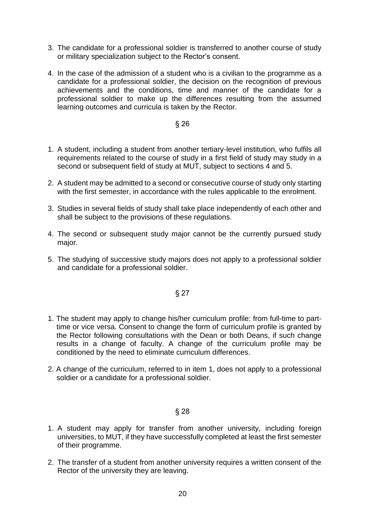- 3. The candidate for a professional soldier is transferred to another course of study or military specialization subject to the Rector's consent.
- 4. In the case of the admission of a student who is a civilian to the programme as a candidate for a professional soldier, the decision on the recognition of previous achievements and the conditions, time and manner of the candidate for a professional soldier to make up the differences resulting from the assumed learning outcomes and curricula is taken by the Rector.

- 1. A student, including a student from another tertiary-level institution, who fulfils all requirements related to the course of study in a first field of study may study in a second or subsequent field of study at MUT, subject to sections 4 and 5.
- 2. A student may be admitted to a second or consecutive course of study only starting with the first semester, in accordance with the rules applicable to the enrolment.
- 3. Studies in several fields of study shall take place independently of each other and shall be subject to the provisions of these regulations.
- 4. The second or subsequent study major cannot be the currently pursued study major.
- 5. The studying of successive study majors does not apply to a professional soldier and candidate for a professional soldier.

§ 27

- 1. The student may apply to change his/her curriculum profile: from full-time to parttime or vice versa. Consent to change the form of curriculum profile is granted by the Rector following consultations with the Dean or both Deans, if such change results in a change of faculty. A change of the curriculum profile may be conditioned by the need to eliminate curriculum differences.
- 2. A change of the curriculum, referred to in item 1, does not apply to a professional soldier or a candidate for a professional soldier.

- 1. A student may apply for transfer from another university, including foreign universities, to MUT, if they have successfully completed at least the first semester of their programme.
- 2. The transfer of a student from another university requires a written consent of the Rector of the university they are leaving.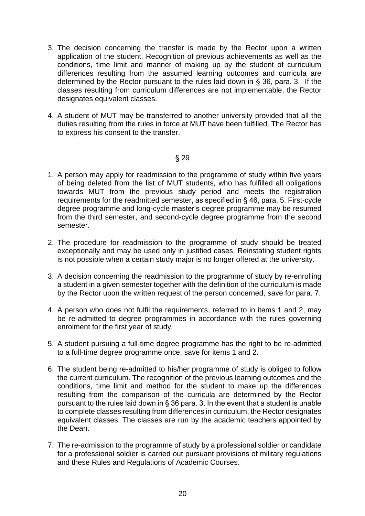- 3. The decision concerning the transfer is made by the Rector upon a written application of the student. Recognition of previous achievements as well as the conditions, time limit and manner of making up by the student of curriculum differences resulting from the assumed learning outcomes and curricula are determined by the Rector pursuant to the rules laid down in § 36, para. 3. If the classes resulting from curriculum differences are not implementable, the Rector designates equivalent classes.
- 4. A student of MUT may be transferred to another university provided that all the duties resulting from the rules in force at MUT have been fulfilled. The Rector has to express his consent to the transfer.

- 1. A person may apply for readmission to the programme of study within five years of being deleted from the list of MUT students, who has fulfilled all obligations towards MUT from the previous study period and meets the registration requirements for the readmitted semester, as specified in § 46, para. 5. First-cycle degree programme and long-cycle master's degree programme may be resumed from the third semester, and second-cycle degree programme from the second semester.
- 2. The procedure for readmission to the programme of study should be treated exceptionally and may be used only in justified cases. Reinstating student rights is not possible when a certain study major is no longer offered at the university.
- 3. A decision concerning the readmission to the programme of study by re-enrolling a student in a given semester together with the definition of the curriculum is made by the Rector upon the written request of the person concerned, save for para. 7.
- 4. A person who does not fulfil the requirements, referred to in items 1 and 2, may be re-admitted to degree programmes in accordance with the rules governing enrolment for the first year of study.
- 5. A student pursuing a full-time degree programme has the right to be re-admitted to a full-time degree programme once, save for items 1 and 2.
- 6. The student being re-admitted to his/her programme of study is obliged to follow the current curriculum. The recognition of the previous learning outcomes and the conditions, time limit and method for the student to make up the differences resulting from the comparison of the curricula are determined by the Rector pursuant to the rules laid down in § 36 para. 3. In the event that a student is unable to complete classes resulting from differences in curriculum, the Rector designates equivalent classes. The classes are run by the academic teachers appointed by the Dean.
- 7. The re-admission to the programme of study by a professional soldier or candidate for a professional soldier is carried out pursuant provisions of military regulations and these Rules and Regulations of Academic Courses.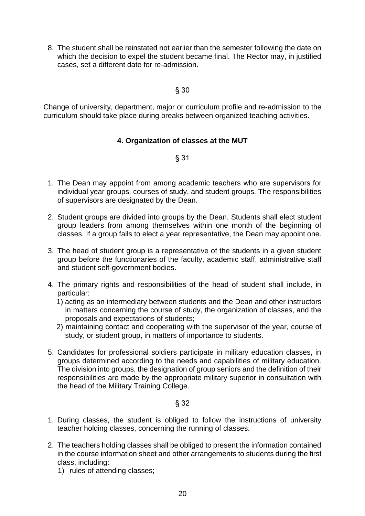8. The student shall be reinstated not earlier than the semester following the date on which the decision to expel the student became final. The Rector may, in justified cases, set a different date for re-admission.

# § 30

Change of university, department, major or curriculum profile and re-admission to the curriculum should take place during breaks between organized teaching activities.

# **4. Organization of classes at the MUT**

# § 31

- 1. The Dean may appoint from among academic teachers who are supervisors for individual year groups, courses of study, and student groups. The responsibilities of supervisors are designated by the Dean.
- 2. Student groups are divided into groups by the Dean. Students shall elect student group leaders from among themselves within one month of the beginning of classes. If a group fails to elect a year representative, the Dean may appoint one.
- 3. The head of student group is a representative of the students in a given student group before the functionaries of the faculty, academic staff, administrative staff and student self-government bodies.
- 4. The primary rights and responsibilities of the head of student shall include, in particular:
	- 1) acting as an intermediary between students and the Dean and other instructors in matters concerning the course of study, the organization of classes, and the proposals and expectations of students;
	- 2) maintaining contact and cooperating with the supervisor of the year, course of study, or student group, in matters of importance to students.
- 5. Candidates for professional soldiers participate in military education classes, in groups determined according to the needs and capabilities of military education. The division into groups, the designation of group seniors and the definition of their responsibilities are made by the appropriate military superior in consultation with the head of the Military Training College.

- 1. During classes, the student is obliged to follow the instructions of university teacher holding classes, concerning the running of classes.
- 2. The teachers holding classes shall be obliged to present the information contained in the course information sheet and other arrangements to students during the first class, including:
	- 1) rules of attending classes;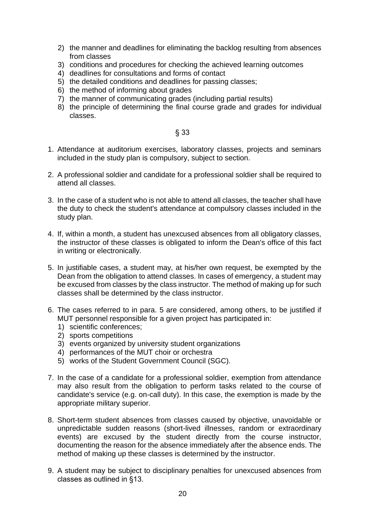- 2) the manner and deadlines for eliminating the backlog resulting from absences from classes
- 3) conditions and procedures for checking the achieved learning outcomes
- 4) deadlines for consultations and forms of contact
- 5) the detailed conditions and deadlines for passing classes;
- 6) the method of informing about grades
- 7) the manner of communicating grades (including partial results)
- 8) the principle of determining the final course grade and grades for individual classes.

- 1. Attendance at auditorium exercises, laboratory classes, projects and seminars included in the study plan is compulsory, subject to section.
- 2. A professional soldier and candidate for a professional soldier shall be required to attend all classes.
- 3. In the case of a student who is not able to attend all classes, the teacher shall have the duty to check the student's attendance at compulsory classes included in the study plan.
- 4. If, within a month, a student has unexcused absences from all obligatory classes, the instructor of these classes is obligated to inform the Dean's office of this fact in writing or electronically.
- 5. In justifiable cases, a student may, at his/her own request, be exempted by the Dean from the obligation to attend classes. In cases of emergency, a student may be excused from classes by the class instructor. The method of making up for such classes shall be determined by the class instructor.
- 6. The cases referred to in para. 5 are considered, among others, to be justified if MUT personnel responsible for a given project has participated in:
	- 1) scientific conferences;
	- 2) sports competitions
	- 3) events organized by university student organizations
	- 4) performances of the MUT choir or orchestra
	- 5) works of the Student Government Council (SGC).
- 7. In the case of a candidate for a professional soldier, exemption from attendance may also result from the obligation to perform tasks related to the course of candidate's service (e.g. on-call duty). In this case, the exemption is made by the appropriate military superior.
- 8. Short-term student absences from classes caused by objective, unavoidable or unpredictable sudden reasons (short-lived illnesses, random or extraordinary events) are excused by the student directly from the course instructor, documenting the reason for the absence immediately after the absence ends. The method of making up these classes is determined by the instructor.
- 9. A student may be subject to disciplinary penalties for unexcused absences from classes as outlined in §13.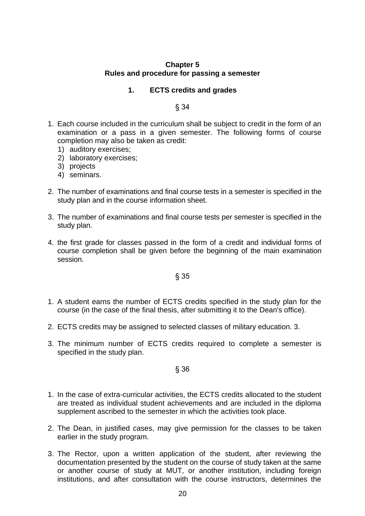# **Chapter 5 Rules and procedure for passing a semester**

# **1. ECTS credits and grades**

# § 34

- 1. Each course included in the curriculum shall be subject to credit in the form of an examination or a pass in a given semester. The following forms of course completion may also be taken as credit:
	- 1) auditory exercises;
	- 2) laboratory exercises;
	- 3) projects
	- 4) seminars.
- 2. The number of examinations and final course tests in a semester is specified in the study plan and in the course information sheet.
- 3. The number of examinations and final course tests per semester is specified in the study plan.
- 4. the first grade for classes passed in the form of a credit and individual forms of course completion shall be given before the beginning of the main examination session.

# § 35

- 1. A student earns the number of ECTS credits specified in the study plan for the course (in the case of the final thesis, after submitting it to the Dean's office).
- 2. ECTS credits may be assigned to selected classes of military education. 3.
- 3. The minimum number of ECTS credits required to complete a semester is specified in the study plan.

- 1. In the case of extra-curricular activities, the ECTS credits allocated to the student are treated as individual student achievements and are included in the diploma supplement ascribed to the semester in which the activities took place.
- 2. The Dean, in justified cases, may give permission for the classes to be taken earlier in the study program.
- 3. The Rector, upon a written application of the student, after reviewing the documentation presented by the student on the course of study taken at the same or another course of study at MUT, or another institution, including foreign institutions, and after consultation with the course instructors, determines the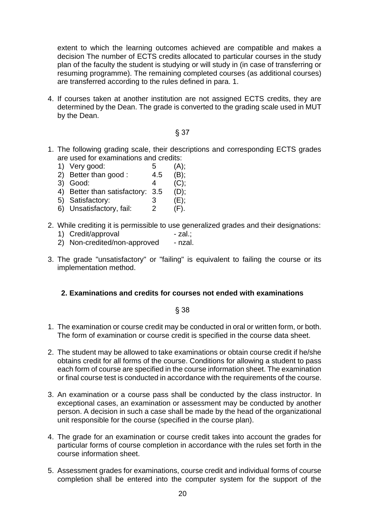extent to which the learning outcomes achieved are compatible and makes a decision The number of ECTS credits allocated to particular courses in the study plan of the faculty the student is studying or will study in (in case of transferring or resuming programme). The remaining completed courses (as additional courses) are transferred according to the rules defined in para. 1.

4. If courses taken at another institution are not assigned ECTS credits, they are determined by the Dean. The grade is converted to the grading scale used in MUT by the Dean.

### § 37

- 1. The following grading scale, their descriptions and corresponding ECTS grades are used for examinations and credits:
	- 1) Very good: 5 (A);
	- 2) Better than good :  $4.5$  (B);
	- 3) Good: 4 (C);
	- 4) Better than satisfactory: 3.5 (D);
	- 5) Satisfactory: 3 (E);<br>6) Unsatisfactory fail: 2 (F)
	- 6) Unsatisfactory, fail: 2 (F).
- 2. While crediting it is permissible to use generalized grades and their designations:
	- 1) Credit/approval zal.;
	- 2) Non-credited/non-approved nzal.
- 3. The grade "unsatisfactory" or "failing" is equivalent to failing the course or its implementation method.

# **2. Examinations and credits for courses not ended with examinations**

- 1. The examination or course credit may be conducted in oral or written form, or both. The form of examination or course credit is specified in the course data sheet.
- 2. The student may be allowed to take examinations or obtain course credit if he/she obtains credit for all forms of the course. Conditions for allowing a student to pass each form of course are specified in the course information sheet. The examination or final course test is conducted in accordance with the requirements of the course.
- 3. An examination or a course pass shall be conducted by the class instructor. In exceptional cases, an examination or assessment may be conducted by another person. A decision in such a case shall be made by the head of the organizational unit responsible for the course (specified in the course plan).
- 4. The grade for an examination or course credit takes into account the grades for particular forms of course completion in accordance with the rules set forth in the course information sheet.
- 5. Assessment grades for examinations, course credit and individual forms of course completion shall be entered into the computer system for the support of the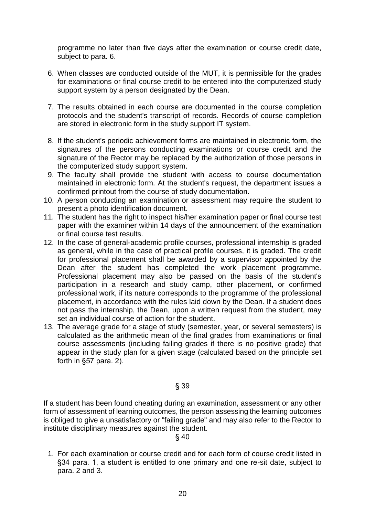programme no later than five days after the examination or course credit date, subject to para. 6.

- 6. When classes are conducted outside of the MUT, it is permissible for the grades for examinations or final course credit to be entered into the computerized study support system by a person designated by the Dean.
- 7. The results obtained in each course are documented in the course completion protocols and the student's transcript of records. Records of course completion are stored in electronic form in the study support IT system.
- 8. If the student's periodic achievement forms are maintained in electronic form, the signatures of the persons conducting examinations or course credit and the signature of the Rector may be replaced by the authorization of those persons in the computerized study support system.
- 9. The faculty shall provide the student with access to course documentation maintained in electronic form. At the student's request, the department issues a confirmed printout from the course of study documentation.
- 10. A person conducting an examination or assessment may require the student to present a photo identification document.
- 11. The student has the right to inspect his/her examination paper or final course test paper with the examiner within 14 days of the announcement of the examination or final course test results.
- 12. In the case of general-academic profile courses, professional internship is graded as general, while in the case of practical profile courses, it is graded. The credit for professional placement shall be awarded by a supervisor appointed by the Dean after the student has completed the work placement programme. Professional placement may also be passed on the basis of the student's participation in a research and study camp, other placement, or confirmed professional work, if its nature corresponds to the programme of the professional placement, in accordance with the rules laid down by the Dean. If a student does not pass the internship, the Dean, upon a written request from the student, may set an individual course of action for the student.
- 13. The average grade for a stage of study (semester, year, or several semesters) is calculated as the arithmetic mean of the final grades from examinations or final course assessments (including failing grades if there is no positive grade) that appear in the study plan for a given stage (calculated based on the principle set forth in §57 para. 2).

§ 39

If a student has been found cheating during an examination, assessment or any other form of assessment of learning outcomes, the person assessing the learning outcomes is obliged to give a unsatisfactory or "failing grade" and may also refer to the Rector to institute disciplinary measures against the student.

§ 40

1. For each examination or course credit and for each form of course credit listed in §34 para. 1, a student is entitled to one primary and one re-sit date, subject to para. 2 and 3.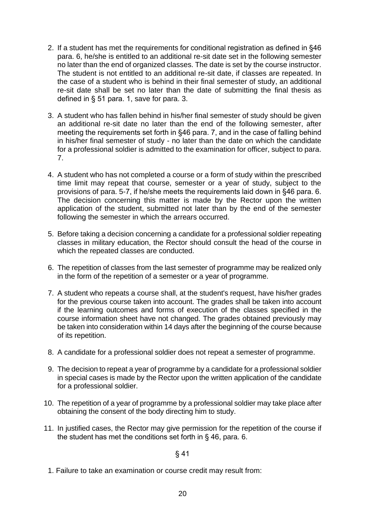- 2. If a student has met the requirements for conditional registration as defined in §46 para. 6, he/she is entitled to an additional re-sit date set in the following semester no later than the end of organized classes. The date is set by the course instructor. The student is not entitled to an additional re-sit date, if classes are repeated. In the case of a student who is behind in their final semester of study, an additional re-sit date shall be set no later than the date of submitting the final thesis as defined in § 51 para. 1, save for para. 3.
- 3. A student who has fallen behind in his/her final semester of study should be given an additional re-sit date no later than the end of the following semester, after meeting the requirements set forth in §46 para. 7, and in the case of falling behind in his/her final semester of study - no later than the date on which the candidate for a professional soldier is admitted to the examination for officer, subject to para. 7.
- 4. A student who has not completed a course or a form of study within the prescribed time limit may repeat that course, semester or a year of study, subject to the provisions of para. 5-7, if he/she meets the requirements laid down in §46 para. 6. The decision concerning this matter is made by the Rector upon the written application of the student, submitted not later than by the end of the semester following the semester in which the arrears occurred.
- 5. Before taking a decision concerning a candidate for a professional soldier repeating classes in military education, the Rector should consult the head of the course in which the repeated classes are conducted.
- 6. The repetition of classes from the last semester of programme may be realized only in the form of the repetition of a semester or a year of programme.
- 7. A student who repeats a course shall, at the student's request, have his/her grades for the previous course taken into account. The grades shall be taken into account if the learning outcomes and forms of execution of the classes specified in the course information sheet have not changed. The grades obtained previously may be taken into consideration within 14 days after the beginning of the course because of its repetition.
- 8. A candidate for a professional soldier does not repeat a semester of programme.
- 9. The decision to repeat a year of programme by a candidate for a professional soldier in special cases is made by the Rector upon the written application of the candidate for a professional soldier.
- 10. The repetition of a year of programme by a professional soldier may take place after obtaining the consent of the body directing him to study.
- 11. In justified cases, the Rector may give permission for the repetition of the course if the student has met the conditions set forth in § 46, para. 6.

1. Failure to take an examination or course credit may result from: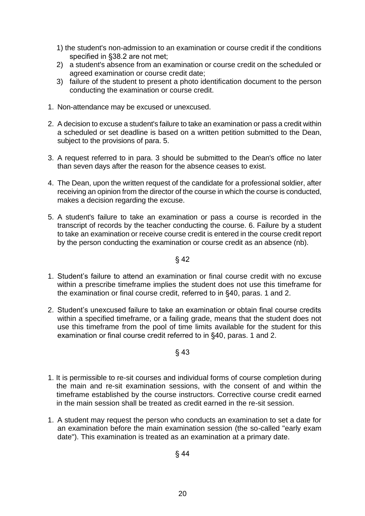- 1) the student's non-admission to an examination or course credit if the conditions specified in §38.2 are not met;
- 2) a student's absence from an examination or course credit on the scheduled or agreed examination or course credit date;
- 3) failure of the student to present a photo identification document to the person conducting the examination or course credit.
- 1. Non-attendance may be excused or unexcused.
- 2. A decision to excuse a student's failure to take an examination or pass a credit within a scheduled or set deadline is based on a written petition submitted to the Dean, subject to the provisions of para. 5.
- 3. A request referred to in para. 3 should be submitted to the Dean's office no later than seven days after the reason for the absence ceases to exist.
- 4. The Dean, upon the written request of the candidate for a professional soldier, after receiving an opinion from the director of the course in which the course is conducted, makes a decision regarding the excuse.
- 5. A student's failure to take an examination or pass a course is recorded in the transcript of records by the teacher conducting the course. 6. Failure by a student to take an examination or receive course credit is entered in the course credit report by the person conducting the examination or course credit as an absence (nb).

- 1. Student's failure to attend an examination or final course credit with no excuse within a prescribe timeframe implies the student does not use this timeframe for the examination or final course credit, referred to in §40, paras. 1 and 2.
- 2. Student's unexcused failure to take an examination or obtain final course credits within a specified timeframe, or a failing grade, means that the student does not use this timeframe from the pool of time limits available for the student for this examination or final course credit referred to in §40, paras. 1 and 2.

- 1. It is permissible to re-sit courses and individual forms of course completion during the main and re-sit examination sessions, with the consent of and within the timeframe established by the course instructors. Corrective course credit earned in the main session shall be treated as credit earned in the re-sit session.
- 1. A student may request the person who conducts an examination to set a date for an examination before the main examination session (the so-called "early exam date"). This examination is treated as an examination at a primary date.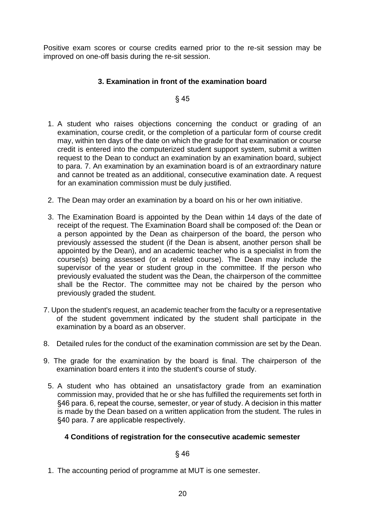Positive exam scores or course credits earned prior to the re-sit session may be improved on one-off basis during the re-sit session.

# **3. Examination in front of the examination board**

§ 45

- 1. A student who raises objections concerning the conduct or grading of an examination, course credit, or the completion of a particular form of course credit may, within ten days of the date on which the grade for that examination or course credit is entered into the computerized student support system, submit a written request to the Dean to conduct an examination by an examination board, subject to para. 7. An examination by an examination board is of an extraordinary nature and cannot be treated as an additional, consecutive examination date. A request for an examination commission must be duly justified.
- 2. The Dean may order an examination by a board on his or her own initiative.
- 3. The Examination Board is appointed by the Dean within 14 days of the date of receipt of the request. The Examination Board shall be composed of: the Dean or a person appointed by the Dean as chairperson of the board, the person who previously assessed the student (if the Dean is absent, another person shall be appointed by the Dean), and an academic teacher who is a specialist in from the course(s) being assessed (or a related course). The Dean may include the supervisor of the year or student group in the committee. If the person who previously evaluated the student was the Dean, the chairperson of the committee shall be the Rector. The committee may not be chaired by the person who previously graded the student.
- 7. Upon the student's request, an academic teacher from the faculty or a representative of the student government indicated by the student shall participate in the examination by a board as an observer.
- 8. Detailed rules for the conduct of the examination commission are set by the Dean.
- 9. The grade for the examination by the board is final. The chairperson of the examination board enters it into the student's course of study.
- 5. A student who has obtained an unsatisfactory grade from an examination commission may, provided that he or she has fulfilled the requirements set forth in §46 para. 6, repeat the course, semester, or year of study. A decision in this matter is made by the Dean based on a written application from the student. The rules in §40 para. 7 are applicable respectively.

# **4 Conditions of registration for the consecutive academic semester**

# § 46

1. The accounting period of programme at MUT is one semester.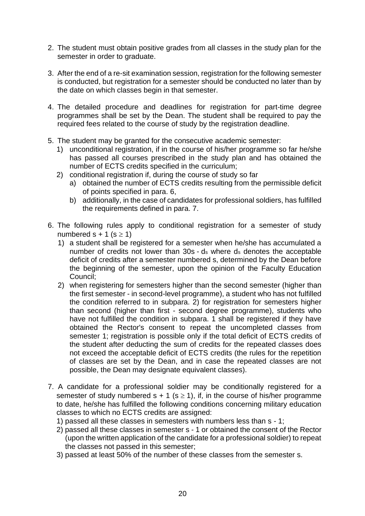- 2. The student must obtain positive grades from all classes in the study plan for the semester in order to graduate.
- 3. After the end of a re-sit examination session, registration for the following semester is conducted, but registration for a semester should be conducted no later than by the date on which classes begin in that semester.
- 4. The detailed procedure and deadlines for registration for part-time degree programmes shall be set by the Dean. The student shall be required to pay the required fees related to the course of study by the registration deadline.
- 5. The student may be granted for the consecutive academic semester:
	- 1) unconditional registration, if in the course of his/her programme so far he/she has passed all courses prescribed in the study plan and has obtained the number of ECTS credits specified in the curriculum;
	- 2) conditional registration if, during the course of study so far
		- a) obtained the number of ECTS credits resulting from the permissible deficit of points specified in para. 6,
		- b) additionally, in the case of candidates for professional soldiers, has fulfilled the requirements defined in para. 7.
- 6. The following rules apply to conditional registration for a semester of study numbered s + 1 (s  $\ge$  1)
	- 1) a student shall be registered for a semester when he/she has accumulated a number of credits not lower than 30s - d<sup>s</sup> where d<sup>s</sup> denotes the acceptable deficit of credits after a semester numbered s, determined by the Dean before the beginning of the semester, upon the opinion of the Faculty Education Council;
	- 2) when registering for semesters higher than the second semester (higher than the first semester - in second-level programme), a student who has not fulfilled the condition referred to in subpara. 2) for registration for semesters higher than second (higher than first - second degree programme), students who have not fulfilled the condition in subpara. 1 shall be registered if they have obtained the Rector's consent to repeat the uncompleted classes from semester 1; registration is possible only if the total deficit of ECTS credits of the student after deducting the sum of credits for the repeated classes does not exceed the acceptable deficit of ECTS credits (the rules for the repetition of classes are set by the Dean, and in case the repeated classes are not possible, the Dean may designate equivalent classes).
- 7. A candidate for a professional soldier may be conditionally registered for a semester of study numbered  $s + 1$  ( $s \ge 1$ ), if, in the course of his/her programme to date, he/she has fulfilled the following conditions concerning military education classes to which no ECTS credits are assigned:
	- 1) passed all these classes in semesters with numbers less than s 1;
	- 2) passed all these classes in semester s 1 or obtained the consent of the Rector (upon the written application of the candidate for a professional soldier) to repeat the classes not passed in this semester;
	- 3) passed at least 50% of the number of these classes from the semester s.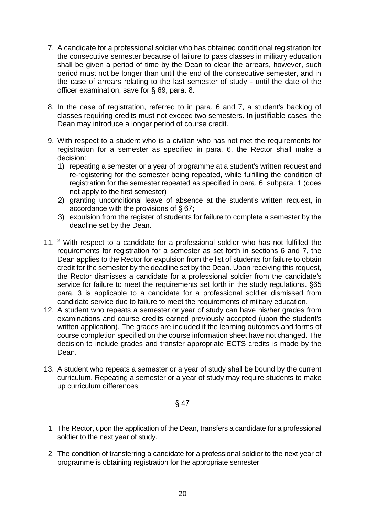- 7. A candidate for a professional soldier who has obtained conditional registration for the consecutive semester because of failure to pass classes in military education shall be given a period of time by the Dean to clear the arrears, however, such period must not be longer than until the end of the consecutive semester, and in the case of arrears relating to the last semester of study - until the date of the officer examination, save for § 69, para. 8.
- 8. In the case of registration, referred to in para. 6 and 7, a student's backlog of classes requiring credits must not exceed two semesters. In justifiable cases, the Dean may introduce a longer period of course credit.
- 9. With respect to a student who is a civilian who has not met the requirements for registration for a semester as specified in para. 6, the Rector shall make a decision:
	- 1) repeating a semester or a year of programme at a student's written request and re-registering for the semester being repeated, while fulfilling the condition of registration for the semester repeated as specified in para. 6, subpara. 1 (does not apply to the first semester)
	- 2) granting unconditional leave of absence at the student's written request, in accordance with the provisions of § 67;
	- 3) expulsion from the register of students for failure to complete a semester by the deadline set by the Dean.
- 11. <sup>2</sup> With respect to a candidate for a professional soldier who has not fulfilled the requirements for registration for a semester as set forth in sections 6 and 7, the Dean applies to the Rector for expulsion from the list of students for failure to obtain credit for the semester by the deadline set by the Dean. Upon receiving this request, the Rector dismisses a candidate for a professional soldier from the candidate's service for failure to meet the requirements set forth in the study regulations. §65 para. 3 is applicable to a candidate for a professional soldier dismissed from candidate service due to failure to meet the requirements of military education.
- 12. A student who repeats a semester or year of study can have his/her grades from examinations and course credits earned previously accepted (upon the student's written application). The grades are included if the learning outcomes and forms of course completion specified on the course information sheet have not changed. The decision to include grades and transfer appropriate ECTS credits is made by the Dean.
- 13. A student who repeats a semester or a year of study shall be bound by the current curriculum. Repeating a semester or a year of study may require students to make up curriculum differences.

- 1. The Rector, upon the application of the Dean, transfers a candidate for a professional soldier to the next year of study.
- 2. The condition of transferring a candidate for a professional soldier to the next year of programme is obtaining registration for the appropriate semester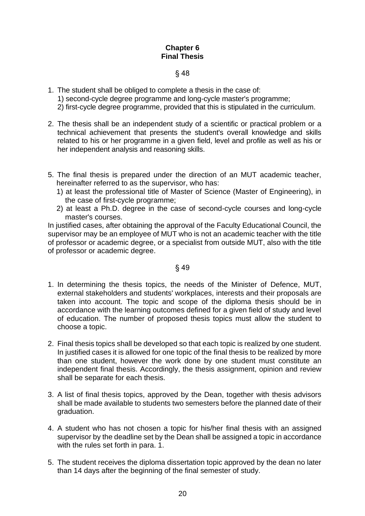# **Chapter 6 Final Thesis**

# § 48

- 1. The student shall be obliged to complete a thesis in the case of: 1) second-cycle degree programme and long-cycle master's programme; 2) first-cycle degree programme, provided that this is stipulated in the curriculum.
- 2. The thesis shall be an independent study of a scientific or practical problem or a technical achievement that presents the student's overall knowledge and skills related to his or her programme in a given field, level and profile as well as his or her independent analysis and reasoning skills.
- 5. The final thesis is prepared under the direction of an MUT academic teacher, hereinafter referred to as the supervisor, who has:
	- 1) at least the professional title of Master of Science (Master of Engineering), in the case of first-cycle programme;
	- 2) at least a Ph.D. degree in the case of second-cycle courses and long-cycle master's courses.

In justified cases, after obtaining the approval of the Faculty Educational Council, the supervisor may be an employee of MUT who is not an academic teacher with the title of professor or academic degree, or a specialist from outside MUT, also with the title of professor or academic degree.

- 1. In determining the thesis topics, the needs of the Minister of Defence, MUT, external stakeholders and students' workplaces, interests and their proposals are taken into account. The topic and scope of the diploma thesis should be in accordance with the learning outcomes defined for a given field of study and level of education. The number of proposed thesis topics must allow the student to choose a topic.
- 2. Final thesis topics shall be developed so that each topic is realized by one student. In justified cases it is allowed for one topic of the final thesis to be realized by more than one student, however the work done by one student must constitute an independent final thesis. Accordingly, the thesis assignment, opinion and review shall be separate for each thesis.
- 3. A list of final thesis topics, approved by the Dean, together with thesis advisors shall be made available to students two semesters before the planned date of their graduation.
- 4. A student who has not chosen a topic for his/her final thesis with an assigned supervisor by the deadline set by the Dean shall be assigned a topic in accordance with the rules set forth in para. 1.
- 5. The student receives the diploma dissertation topic approved by the dean no later than 14 days after the beginning of the final semester of study.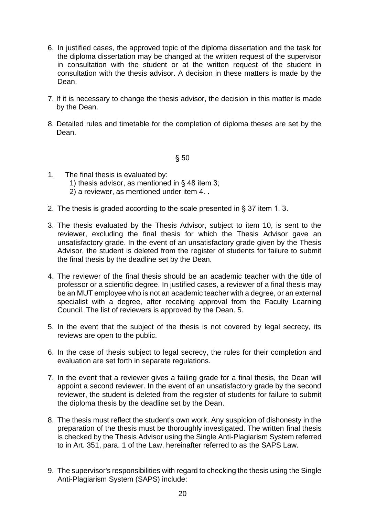- 6. In justified cases, the approved topic of the diploma dissertation and the task for the diploma dissertation may be changed at the written request of the supervisor in consultation with the student or at the written request of the student in consultation with the thesis advisor. A decision in these matters is made by the Dean.
- 7. If it is necessary to change the thesis advisor, the decision in this matter is made by the Dean.
- 8. Detailed rules and timetable for the completion of diploma theses are set by the Dean.

- 1. The final thesis is evaluated by: 1) thesis advisor, as mentioned in § 48 item 3; 2) a reviewer, as mentioned under item 4. .
- 2. The thesis is graded according to the scale presented in § 37 item 1. 3.
- 3. The thesis evaluated by the Thesis Advisor, subject to item 10, is sent to the reviewer, excluding the final thesis for which the Thesis Advisor gave an unsatisfactory grade. In the event of an unsatisfactory grade given by the Thesis Advisor, the student is deleted from the register of students for failure to submit the final thesis by the deadline set by the Dean.
- 4. The reviewer of the final thesis should be an academic teacher with the title of professor or a scientific degree. In justified cases, a reviewer of a final thesis may be an MUT employee who is not an academic teacher with a degree, or an external specialist with a degree, after receiving approval from the Faculty Learning Council. The list of reviewers is approved by the Dean. 5.
- 5. In the event that the subject of the thesis is not covered by legal secrecy, its reviews are open to the public.
- 6. In the case of thesis subject to legal secrecy, the rules for their completion and evaluation are set forth in separate regulations.
- 7. In the event that a reviewer gives a failing grade for a final thesis, the Dean will appoint a second reviewer. In the event of an unsatisfactory grade by the second reviewer, the student is deleted from the register of students for failure to submit the diploma thesis by the deadline set by the Dean.
- 8. The thesis must reflect the student's own work. Any suspicion of dishonesty in the preparation of the thesis must be thoroughly investigated. The written final thesis is checked by the Thesis Advisor using the Single Anti-Plagiarism System referred to in Art. 351, para. 1 of the Law, hereinafter referred to as the SAPS Law.
- 9. The supervisor's responsibilities with regard to checking the thesis using the Single Anti-Plagiarism System (SAPS) include: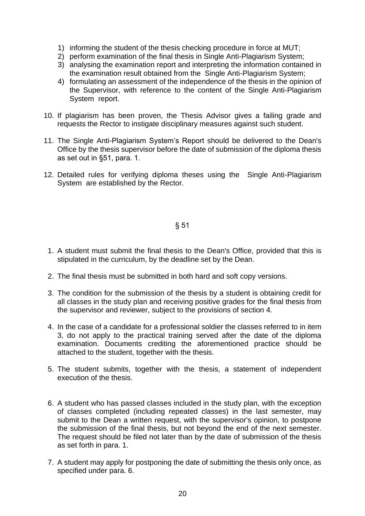- 1) informing the student of the thesis checking procedure in force at MUT;
- 2) perform examination of the final thesis in Single Anti-Plagiarism System;
- 3) analysing the examination report and interpreting the information contained in the examination result obtained from the Single Anti-Plagiarism System;
- 4) formulating an assessment of the independence of the thesis in the opinion of the Supervisor, with reference to the content of the Single Anti-Plagiarism System report.
- 10. If plagiarism has been proven, the Thesis Advisor gives a failing grade and requests the Rector to instigate disciplinary measures against such student.
- 11. The Single Anti-Plagiarism System's Report should be delivered to the Dean's Office by the thesis supervisor before the date of submission of the diploma thesis as set out in §51, para. 1.
- 12. Detailed rules for verifying diploma theses using the Single Anti-Plagiarism System are established by the Rector.

- 1. A student must submit the final thesis to the Dean's Office, provided that this is stipulated in the curriculum, by the deadline set by the Dean.
- 2. The final thesis must be submitted in both hard and soft copy versions.
- 3. The condition for the submission of the thesis by a student is obtaining credit for all classes in the study plan and receiving positive grades for the final thesis from the supervisor and reviewer, subject to the provisions of section 4.
- 4. In the case of a candidate for a professional soldier the classes referred to in item 3, do not apply to the practical training served after the date of the diploma examination. Documents crediting the aforementioned practice should be attached to the student, together with the thesis.
- 5. The student submits, together with the thesis, a statement of independent execution of the thesis.
- 6. A student who has passed classes included in the study plan, with the exception of classes completed (including repeated classes) in the last semester, may submit to the Dean a written request, with the supervisor's opinion, to postpone the submission of the final thesis, but not beyond the end of the next semester. The request should be filed not later than by the date of submission of the thesis as set forth in para. 1.
- 7. A student may apply for postponing the date of submitting the thesis only once, as specified under para. 6.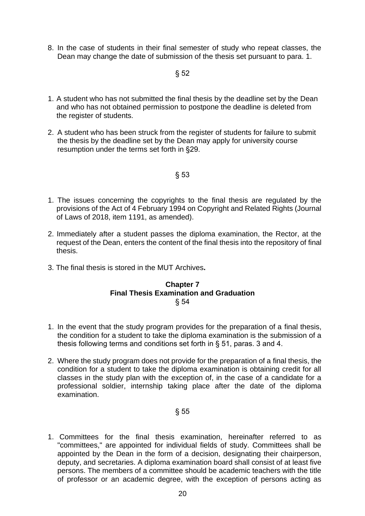8. In the case of students in their final semester of study who repeat classes, the Dean may change the date of submission of the thesis set pursuant to para. 1.

# § 52

- 1. A student who has not submitted the final thesis by the deadline set by the Dean and who has not obtained permission to postpone the deadline is deleted from the register of students.
- 2. A student who has been struck from the register of students for failure to submit the thesis by the deadline set by the Dean may apply for university course resumption under the terms set forth in §29.

# § 53

- 1. The issues concerning the copyrights to the final thesis are regulated by the provisions of the Act of 4 February 1994 on Copyright and Related Rights (Journal of Laws of 2018, item 1191, as amended).
- 2. Immediately after a student passes the diploma examination, the Rector, at the request of the Dean, enters the content of the final thesis into the repository of final thesis.
- 3. The final thesis is stored in the MUT Archives**.**

#### **Chapter 7 Final Thesis Examination and Graduation** § 54

- 1. In the event that the study program provides for the preparation of a final thesis, the condition for a student to take the diploma examination is the submission of a thesis following terms and conditions set forth in § 51, paras. 3 and 4.
- 2. Where the study program does not provide for the preparation of a final thesis, the condition for a student to take the diploma examination is obtaining credit for all classes in the study plan with the exception of, in the case of a candidate for a professional soldier, internship taking place after the date of the diploma examination.

#### § 55

1. Committees for the final thesis examination, hereinafter referred to as "committees," are appointed for individual fields of study. Committees shall be appointed by the Dean in the form of a decision, designating their chairperson, deputy, and secretaries. A diploma examination board shall consist of at least five persons. The members of a committee should be academic teachers with the title of professor or an academic degree, with the exception of persons acting as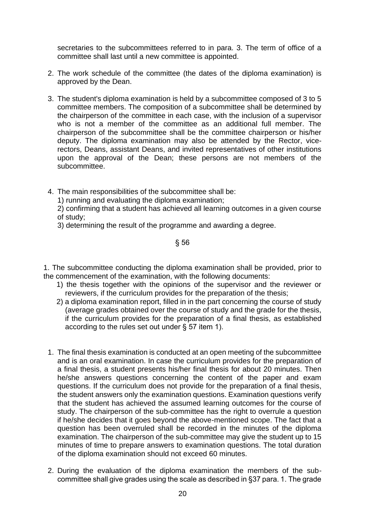secretaries to the subcommittees referred to in para. 3. The term of office of a committee shall last until a new committee is appointed.

- 2. The work schedule of the committee (the dates of the diploma examination) is approved by the Dean.
- 3. The student's diploma examination is held by a subcommittee composed of 3 to 5 committee members. The composition of a subcommittee shall be determined by the chairperson of the committee in each case, with the inclusion of a supervisor who is not a member of the committee as an additional full member. The chairperson of the subcommittee shall be the committee chairperson or his/her deputy. The diploma examination may also be attended by the Rector, vicerectors, Deans, assistant Deans, and invited representatives of other institutions upon the approval of the Dean; these persons are not members of the subcommittee.
- 4. The main responsibilities of the subcommittee shall be:
	- 1) running and evaluating the diploma examination;
	- 2) confirming that a student has achieved all learning outcomes in a given course of study;
	- 3) determining the result of the programme and awarding a degree.

# § 56

1. The subcommittee conducting the diploma examination shall be provided, prior to the commencement of the examination, with the following documents:

- 1) the thesis together with the opinions of the supervisor and the reviewer or reviewers, if the curriculum provides for the preparation of the thesis;
- 2) a diploma examination report, filled in in the part concerning the course of study (average grades obtained over the course of study and the grade for the thesis, if the curriculum provides for the preparation of a final thesis, as established according to the rules set out under § 57 item 1).
- 1. The final thesis examination is conducted at an open meeting of the subcommittee and is an oral examination. In case the curriculum provides for the preparation of a final thesis, a student presents his/her final thesis for about 20 minutes. Then he/she answers questions concerning the content of the paper and exam questions. If the curriculum does not provide for the preparation of a final thesis, the student answers only the examination questions. Examination questions verify that the student has achieved the assumed learning outcomes for the course of study. The chairperson of the sub-committee has the right to overrule a question if he/she decides that it goes beyond the above-mentioned scope. The fact that a question has been overruled shall be recorded in the minutes of the diploma examination. The chairperson of the sub-committee may give the student up to 15 minutes of time to prepare answers to examination questions. The total duration of the diploma examination should not exceed 60 minutes.
- 2. During the evaluation of the diploma examination the members of the subcommittee shall give grades using the scale as described in §37 para. 1. The grade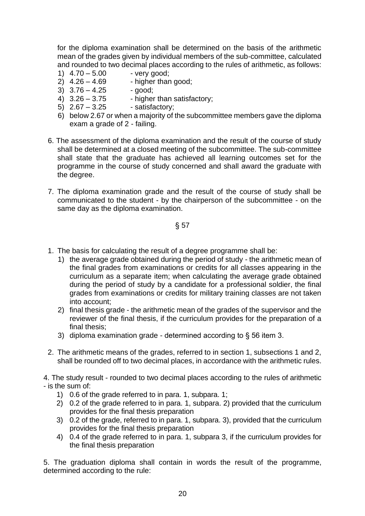for the diploma examination shall be determined on the basis of the arithmetic mean of the grades given by individual members of the sub-committee, calculated and rounded to two decimal places according to the rules of arithmetic, as follows:

- 1)  $4.70 5.00$  very good;
- 2)  $4.26 4.69$  higher than good;
- $3)$   $3.76 4.25$  good;
- 4)  $3.26 3.75$  higher than satisfactory;
- 5)  $2.67 3.25$  satisfactory;
- 6) below 2.67 or when a majority of the subcommittee members gave the diploma exam a grade of 2 - failing.
- 6. The assessment of the diploma examination and the result of the course of study shall be determined at a closed meeting of the subcommittee. The sub-committee shall state that the graduate has achieved all learning outcomes set for the programme in the course of study concerned and shall award the graduate with the degree.
- 7. The diploma examination grade and the result of the course of study shall be communicated to the student - by the chairperson of the subcommittee - on the same day as the diploma examination.

§ 57

- 1. The basis for calculating the result of a degree programme shall be:
	- 1) the average grade obtained during the period of study the arithmetic mean of the final grades from examinations or credits for all classes appearing in the curriculum as a separate item; when calculating the average grade obtained during the period of study by a candidate for a professional soldier, the final grades from examinations or credits for military training classes are not taken into account;
	- 2) final thesis grade the arithmetic mean of the grades of the supervisor and the reviewer of the final thesis, if the curriculum provides for the preparation of a final thesis:
	- 3) diploma examination grade determined according to § 56 item 3.
- 2. The arithmetic means of the grades, referred to in section 1, subsections 1 and 2, shall be rounded off to two decimal places, in accordance with the arithmetic rules.

4. The study result - rounded to two decimal places according to the rules of arithmetic - is the sum of:

- 1) 0.6 of the grade referred to in para. 1, subpara. 1;
- 2) 0.2 of the grade referred to in para. 1, subpara. 2) provided that the curriculum provides for the final thesis preparation
- 3) 0.2 of the grade, referred to in para. 1, subpara. 3), provided that the curriculum provides for the final thesis preparation
- 4) 0.4 of the grade referred to in para. 1, subpara 3, if the curriculum provides for the final thesis preparation

5. The graduation diploma shall contain in words the result of the programme, determined according to the rule: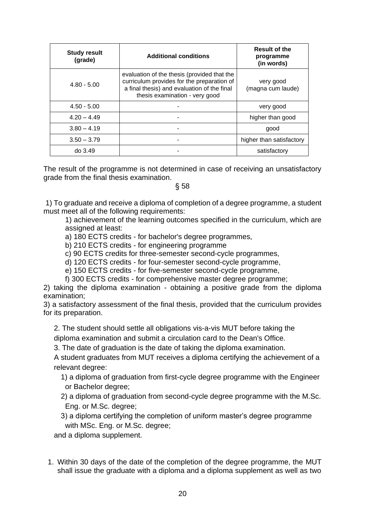| <b>Study result</b><br>(grade) | <b>Additional conditions</b>                                                                                                                                               | <b>Result of the</b><br>programme<br>(in words) |
|--------------------------------|----------------------------------------------------------------------------------------------------------------------------------------------------------------------------|-------------------------------------------------|
| $4.80 - 5.00$                  | evaluation of the thesis (provided that the<br>curriculum provides for the preparation of<br>a final thesis) and evaluation of the final<br>thesis examination - very good | very good<br>(magna cum laude)                  |
| $4.50 - 5.00$                  |                                                                                                                                                                            | very good                                       |
| $4.20 - 4.49$                  |                                                                                                                                                                            | higher than good                                |
| $3.80 - 4.19$                  |                                                                                                                                                                            | good                                            |
| $3.50 - 3.79$                  |                                                                                                                                                                            | higher than satisfactory                        |
| do 3.49                        |                                                                                                                                                                            | satisfactory                                    |

The result of the programme is not determined in case of receiving an unsatisfactory grade from the final thesis examination.

§ 58

1) To graduate and receive a diploma of completion of a degree programme, a student must meet all of the following requirements:

1) achievement of the learning outcomes specified in the curriculum, which are assigned at least:

a) 180 ECTS credits - for bachelor's degree programmes,

b) 210 ECTS credits - for engineering programme

c) 90 ECTS credits for three-semester second-cycle programmes,

d) 120 ECTS credits - for four-semester second-cycle programme,

e) 150 ECTS credits - for five-semester second-cycle programme,

f) 300 ECTS credits - for comprehensive master degree programme;

2) taking the diploma examination - obtaining a positive grade from the diploma examination;

3) a satisfactory assessment of the final thesis, provided that the curriculum provides for its preparation.

2. The student should settle all obligations vis-a-vis MUT before taking the diploma examination and submit a circulation card to the Dean's Office.

3. The date of graduation is the date of taking the diploma examination.

A student graduates from MUT receives a diploma certifying the achievement of a relevant degree:

- 1) a diploma of graduation from first-cycle degree programme with the Engineer or Bachelor degree;
- 2) a diploma of graduation from second-cycle degree programme with the M.Sc. Eng. or M.Sc. degree;
- 3) a diploma certifying the completion of uniform master's degree programme with MSc. Eng. or M.Sc. degree;

and a diploma supplement.

1. Within 30 days of the date of the completion of the degree programme, the MUT shall issue the graduate with a diploma and a diploma supplement as well as two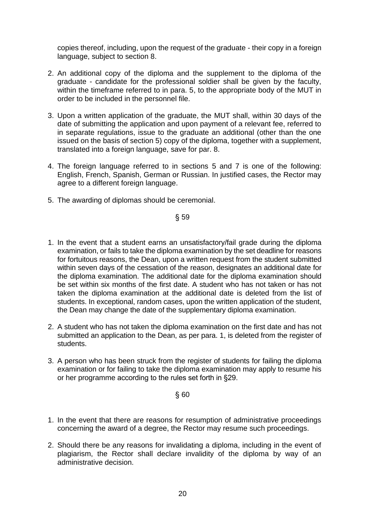copies thereof, including, upon the request of the graduate - their copy in a foreign language, subject to section 8.

- 2. An additional copy of the diploma and the supplement to the diploma of the graduate - candidate for the professional soldier shall be given by the faculty, within the timeframe referred to in para. 5, to the appropriate body of the MUT in order to be included in the personnel file.
- 3. Upon a written application of the graduate, the MUT shall, within 30 days of the date of submitting the application and upon payment of a relevant fee, referred to in separate regulations, issue to the graduate an additional (other than the one issued on the basis of section 5) copy of the diploma, together with a supplement, translated into a foreign language, save for par. 8.
- 4. The foreign language referred to in sections 5 and 7 is one of the following: English, French, Spanish, German or Russian. In justified cases, the Rector may agree to a different foreign language.
- 5. The awarding of diplomas should be ceremonial.

§ 59

- 1. In the event that a student earns an unsatisfactory/fail grade during the diploma examination, or fails to take the diploma examination by the set deadline for reasons for fortuitous reasons, the Dean, upon a written request from the student submitted within seven days of the cessation of the reason, designates an additional date for the diploma examination. The additional date for the diploma examination should be set within six months of the first date. A student who has not taken or has not taken the diploma examination at the additional date is deleted from the list of students. In exceptional, random cases, upon the written application of the student, the Dean may change the date of the supplementary diploma examination.
- 2. A student who has not taken the diploma examination on the first date and has not submitted an application to the Dean, as per para. 1, is deleted from the register of students.
- 3. A person who has been struck from the register of students for failing the diploma examination or for failing to take the diploma examination may apply to resume his or her programme according to the rules set forth in §29.

- 1. In the event that there are reasons for resumption of administrative proceedings concerning the award of a degree, the Rector may resume such proceedings.
- 2. Should there be any reasons for invalidating a diploma, including in the event of plagiarism, the Rector shall declare invalidity of the diploma by way of an administrative decision.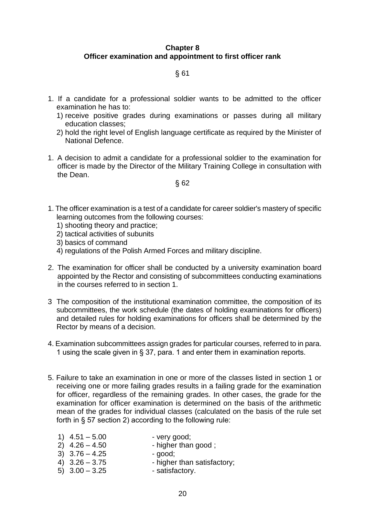# **Chapter 8 Officer examination and appointment to first officer rank**

# § 61

- 1. If a candidate for a professional soldier wants to be admitted to the officer examination he has to:
	- 1) receive positive grades during examinations or passes during all military education classes;
	- 2) hold the right level of English language certificate as required by the Minister of National Defence.
- 1. A decision to admit a candidate for a professional soldier to the examination for officer is made by the Director of the Military Training College in consultation with the Dean.

- 1. The officer examination is a test of a candidate for career soldier's mastery of specific learning outcomes from the following courses:
	- 1) shooting theory and practice;
	- 2) tactical activities of subunits
	- 3) basics of command
	- 4) regulations of the Polish Armed Forces and military discipline.
- 2. The examination for officer shall be conducted by a university examination board appointed by the Rector and consisting of subcommittees conducting examinations in the courses referred to in section 1.
- 3 The composition of the institutional examination committee, the composition of its subcommittees, the work schedule (the dates of holding examinations for officers) and detailed rules for holding examinations for officers shall be determined by the Rector by means of a decision.
- 4. Examination subcommittees assign grades for particular courses, referred to in para. 1 using the scale given in § 37, para. 1 and enter them in examination reports.
- 5. Failure to take an examination in one or more of the classes listed in section 1 or receiving one or more failing grades results in a failing grade for the examination for officer, regardless of the remaining grades. In other cases, the grade for the examination for officer examination is determined on the basis of the arithmetic mean of the grades for individual classes (calculated on the basis of the rule set forth in § 57 section 2) according to the following rule:
	- 1)  $4.51 5.00$  very good;  $2)$  4.26 – 4.50 - higher than good;  $3)$   $3.76 - 4.25$  - good; 4)  $3.26 - 3.75$  - higher than satisfactory; 5)  $3.00 - 3.25$  - satisfactory.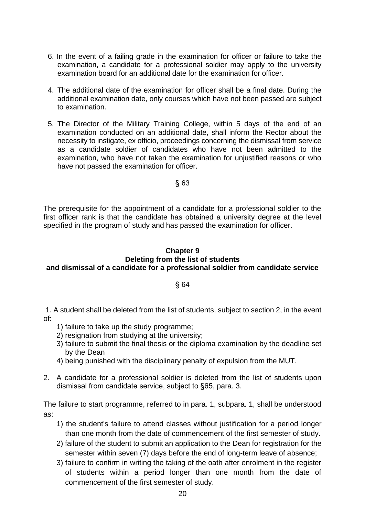- 6. In the event of a failing grade in the examination for officer or failure to take the examination, a candidate for a professional soldier may apply to the university examination board for an additional date for the examination for officer.
- 4. The additional date of the examination for officer shall be a final date. During the additional examination date, only courses which have not been passed are subject to examination.
- 5. The Director of the Military Training College, within 5 days of the end of an examination conducted on an additional date, shall inform the Rector about the necessity to instigate, ex officio, proceedings concerning the dismissal from service as a candidate soldier of candidates who have not been admitted to the examination, who have not taken the examination for unjustified reasons or who have not passed the examination for officer.

The prerequisite for the appointment of a candidate for a professional soldier to the first officer rank is that the candidate has obtained a university degree at the level specified in the program of study and has passed the examination for officer.

#### **Chapter 9 Deleting from the list of students and dismissal of a candidate for a professional soldier from candidate service**

# § 64

1. A student shall be deleted from the list of students, subject to section 2, in the event of:

- 1) failure to take up the study programme;
- 2) resignation from studying at the university:
- 3) failure to submit the final thesis or the diploma examination by the deadline set by the Dean
- 4) being punished with the disciplinary penalty of expulsion from the MUT.
- 2. A candidate for a professional soldier is deleted from the list of students upon dismissal from candidate service, subject to §65, para. 3.

The failure to start programme, referred to in para. 1, subpara. 1, shall be understood as:

- 1) the student's failure to attend classes without justification for a period longer than one month from the date of commencement of the first semester of study.
- 2) failure of the student to submit an application to the Dean for registration for the semester within seven (7) days before the end of long-term leave of absence;
- 3) failure to confirm in writing the taking of the oath after enrolment in the register of students within a period longer than one month from the date of commencement of the first semester of study.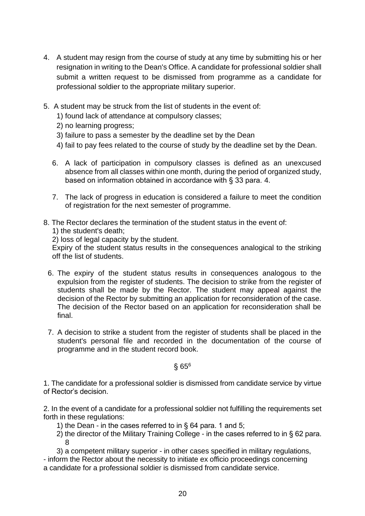- 4. A student may resign from the course of study at any time by submitting his or her resignation in writing to the Dean's Office. A candidate for professional soldier shall submit a written request to be dismissed from programme as a candidate for professional soldier to the appropriate military superior.
- 5. A student may be struck from the list of students in the event of:
	- 1) found lack of attendance at compulsory classes;
	- 2) no learning progress;
	- 3) failure to pass a semester by the deadline set by the Dean
	- 4) fail to pay fees related to the course of study by the deadline set by the Dean.
	- 6. A lack of participation in compulsory classes is defined as an unexcused absence from all classes within one month, during the period of organized study, based on information obtained in accordance with § 33 para. 4.
	- 7. The lack of progress in education is considered a failure to meet the condition of registration for the next semester of programme.
- 8. The Rector declares the termination of the student status in the event of:

1) the student's death;

2) loss of legal capacity by the student.

Expiry of the student status results in the consequences analogical to the striking off the list of students.

- 6. The expiry of the student status results in consequences analogous to the expulsion from the register of students. The decision to strike from the register of students shall be made by the Rector. The student may appeal against the decision of the Rector by submitting an application for reconsideration of the case. The decision of the Rector based on an application for reconsideration shall be final.
- 7. A decision to strike a student from the register of students shall be placed in the student's personal file and recorded in the documentation of the course of programme and in the student record book.

§ 65<sup>6</sup>

1. The candidate for a professional soldier is dismissed from candidate service by virtue of Rector's decision.

2. In the event of a candidate for a professional soldier not fulfilling the requirements set forth in these regulations:

- 1) the Dean in the cases referred to in  $\S$  64 para. 1 and 5;
- 2) the director of the Military Training College in the cases referred to in § 62 para. 8
- 3) a competent military superior in other cases specified in military regulations,

- inform the Rector about the necessity to initiate ex officio proceedings concerning a candidate for a professional soldier is dismissed from candidate service.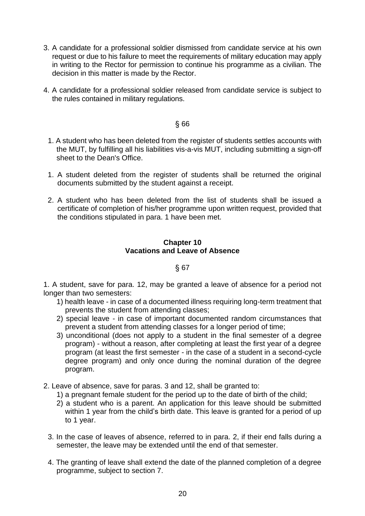- 3. A candidate for a professional soldier dismissed from candidate service at his own request or due to his failure to meet the requirements of military education may apply in writing to the Rector for permission to continue his programme as a civilian. The decision in this matter is made by the Rector.
- 4. A candidate for a professional soldier released from candidate service is subject to the rules contained in military regulations.

- 1. A student who has been deleted from the register of students settles accounts with the MUT, by fulfilling all his liabilities vis-a-vis MUT, including submitting a sign-off sheet to the Dean's Office.
- 1. A student deleted from the register of students shall be returned the original documents submitted by the student against a receipt.
- 2. A student who has been deleted from the list of students shall be issued a certificate of completion of his/her programme upon written request, provided that the conditions stipulated in para. 1 have been met.

#### **Chapter 10 Vacations and Leave of Absence**

#### § 67

1. A student, save for para. 12, may be granted a leave of absence for a period not longer than two semesters:

- 1) health leave in case of a documented illness requiring long-term treatment that prevents the student from attending classes;
- 2) special leave in case of important documented random circumstances that prevent a student from attending classes for a longer period of time;
- 3) unconditional (does not apply to a student in the final semester of a degree program) - without a reason, after completing at least the first year of a degree program (at least the first semester - in the case of a student in a second-cycle degree program) and only once during the nominal duration of the degree program.
- 2. Leave of absence, save for paras. 3 and 12, shall be granted to:
	- 1) a pregnant female student for the period up to the date of birth of the child;
	- 2) a student who is a parent. An application for this leave should be submitted within 1 year from the child's birth date. This leave is granted for a period of up to 1 year.
	- 3. In the case of leaves of absence, referred to in para. 2, if their end falls during a semester, the leave may be extended until the end of that semester.
	- 4. The granting of leave shall extend the date of the planned completion of a degree programme, subject to section 7.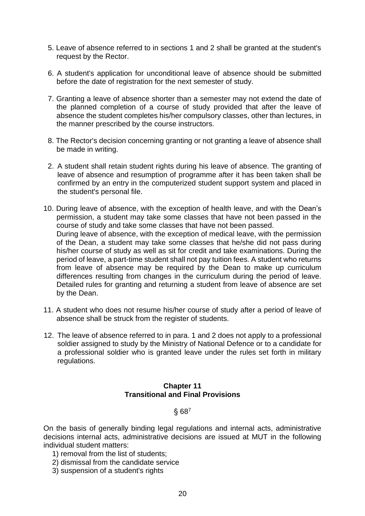- 5. Leave of absence referred to in sections 1 and 2 shall be granted at the student's request by the Rector.
- 6. A student's application for unconditional leave of absence should be submitted before the date of registration for the next semester of study.
- 7. Granting a leave of absence shorter than a semester may not extend the date of the planned completion of a course of study provided that after the leave of absence the student completes his/her compulsory classes, other than lectures, in the manner prescribed by the course instructors.
- 8. The Rector's decision concerning granting or not granting a leave of absence shall be made in writing.
- 2. A student shall retain student rights during his leave of absence. The granting of leave of absence and resumption of programme after it has been taken shall be confirmed by an entry in the computerized student support system and placed in the student's personal file.
- 10. During leave of absence, with the exception of health leave, and with the Dean's permission, a student may take some classes that have not been passed in the course of study and take some classes that have not been passed. During leave of absence, with the exception of medical leave, with the permission of the Dean, a student may take some classes that he/she did not pass during his/her course of study as well as sit for credit and take examinations. During the period of leave, a part-time student shall not pay tuition fees. A student who returns from leave of absence may be required by the Dean to make up curriculum differences resulting from changes in the curriculum during the period of leave. Detailed rules for granting and returning a student from leave of absence are set by the Dean.
- 11. A student who does not resume his/her course of study after a period of leave of absence shall be struck from the register of students.
- 12. The leave of absence referred to in para. 1 and 2 does not apply to a professional soldier assigned to study by the Ministry of National Defence or to a candidate for a professional soldier who is granted leave under the rules set forth in military regulations.

# **Chapter 11 Transitional and Final Provisions**

§ 68<sup>7</sup>

On the basis of generally binding legal regulations and internal acts, administrative decisions internal acts, administrative decisions are issued at MUT in the following individual student matters:

- 1) removal from the list of students;
- 2) dismissal from the candidate service
- 3) suspension of a student's rights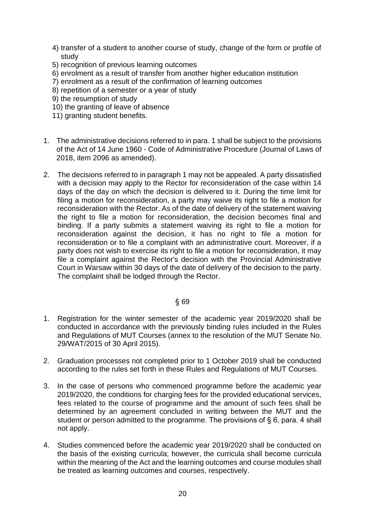- 4) transfer of a student to another course of study, change of the form or profile of study
- 5) recognition of previous learning outcomes
- 6) enrolment as a result of transfer from another higher education institution
- 7) enrolment as a result of the confirmation of learning outcomes
- 8) repetition of a semester or a year of study
- 9) the resumption of study
- 10) the granting of leave of absence
- 11) granting student benefits.
- 1. The administrative decisions referred to in para. 1 shall be subject to the provisions of the Act of 14 June 1960 - Code of Administrative Procedure (Journal of Laws of 2018, item 2096 as amended).
- 2. The decisions referred to in paragraph 1 may not be appealed. A party dissatisfied with a decision may apply to the Rector for reconsideration of the case within 14 days of the day on which the decision is delivered to it. During the time limit for filing a motion for reconsideration, a party may waive its right to file a motion for reconsideration with the Rector. As of the date of delivery of the statement waiving the right to file a motion for reconsideration, the decision becomes final and binding. If a party submits a statement waiving its right to file a motion for reconsideration against the decision, it has no right to file a motion for reconsideration or to file a complaint with an administrative court. Moreover, if a party does not wish to exercise its right to file a motion for reconsideration, it may file a complaint against the Rector's decision with the Provincial Administrative Court in Warsaw within 30 days of the date of delivery of the decision to the party. The complaint shall be lodged through the Rector.

- 1. Registration for the winter semester of the academic year 2019/2020 shall be conducted in accordance with the previously binding rules included in the Rules and Regulations of MUT Courses (annex to the resolution of the MUT Senate No. 29/WAT/2015 of 30 April 2015).
- 2. Graduation processes not completed prior to 1 October 2019 shall be conducted according to the rules set forth in these Rules and Regulations of MUT Courses.
- 3. In the case of persons who commenced programme before the academic year 2019/2020, the conditions for charging fees for the provided educational services, fees related to the course of programme and the amount of such fees shall be determined by an agreement concluded in writing between the MUT and the student or person admitted to the programme. The provisions of § 6, para. 4 shall not apply.
- 4. Studies commenced before the academic year 2019/2020 shall be conducted on the basis of the existing curricula; however, the curricula shall become curricula within the meaning of the Act and the learning outcomes and course modules shall be treated as learning outcomes and courses, respectively.